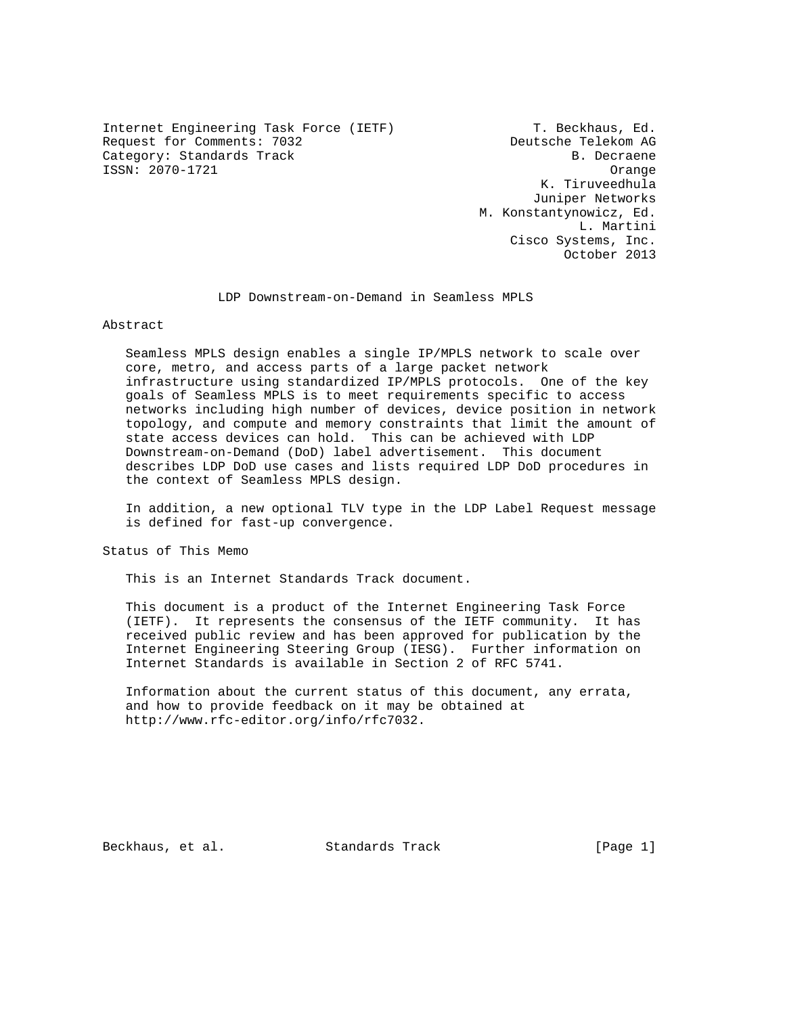Internet Engineering Task Force (IETF) T. Beckhaus, Ed.<br>Request for Comments: 7032 Beutsche Telekom AG Request for Comments: 7032 Category: Standards Track B. Decraene ISSN: 2070-1721 Orange

 K. Tiruveedhula Juniper Networks M. Konstantynowicz, Ed. L. Martini Cisco Systems, Inc. October 2013

LDP Downstream-on-Demand in Seamless MPLS

### Abstract

 Seamless MPLS design enables a single IP/MPLS network to scale over core, metro, and access parts of a large packet network infrastructure using standardized IP/MPLS protocols. One of the key goals of Seamless MPLS is to meet requirements specific to access networks including high number of devices, device position in network topology, and compute and memory constraints that limit the amount of state access devices can hold. This can be achieved with LDP Downstream-on-Demand (DoD) label advertisement. This document describes LDP DoD use cases and lists required LDP DoD procedures in the context of Seamless MPLS design.

 In addition, a new optional TLV type in the LDP Label Request message is defined for fast-up convergence.

Status of This Memo

This is an Internet Standards Track document.

 This document is a product of the Internet Engineering Task Force (IETF). It represents the consensus of the IETF community. It has received public review and has been approved for publication by the Internet Engineering Steering Group (IESG). Further information on Internet Standards is available in Section 2 of RFC 5741.

 Information about the current status of this document, any errata, and how to provide feedback on it may be obtained at http://www.rfc-editor.org/info/rfc7032.

Beckhaus, et al. Standards Track [Page 1]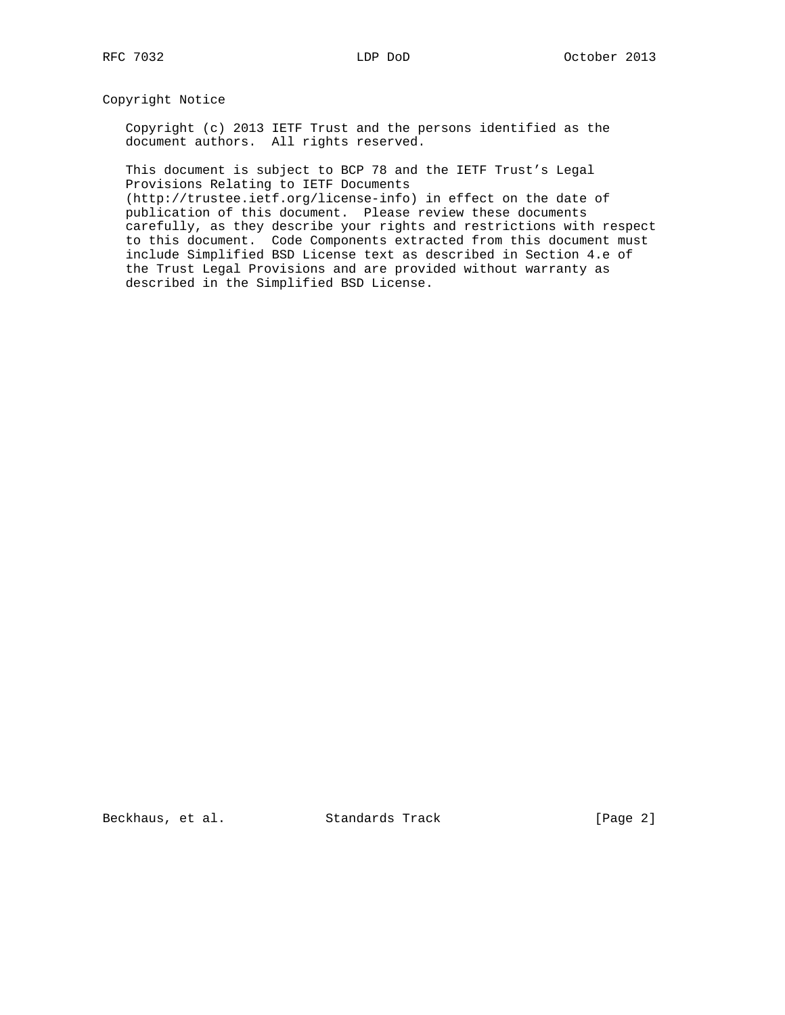## Copyright Notice

 Copyright (c) 2013 IETF Trust and the persons identified as the document authors. All rights reserved.

 This document is subject to BCP 78 and the IETF Trust's Legal Provisions Relating to IETF Documents

 (http://trustee.ietf.org/license-info) in effect on the date of publication of this document. Please review these documents carefully, as they describe your rights and restrictions with respect to this document. Code Components extracted from this document must include Simplified BSD License text as described in Section 4.e of the Trust Legal Provisions and are provided without warranty as described in the Simplified BSD License.

Beckhaus, et al. Standards Track [Page 2]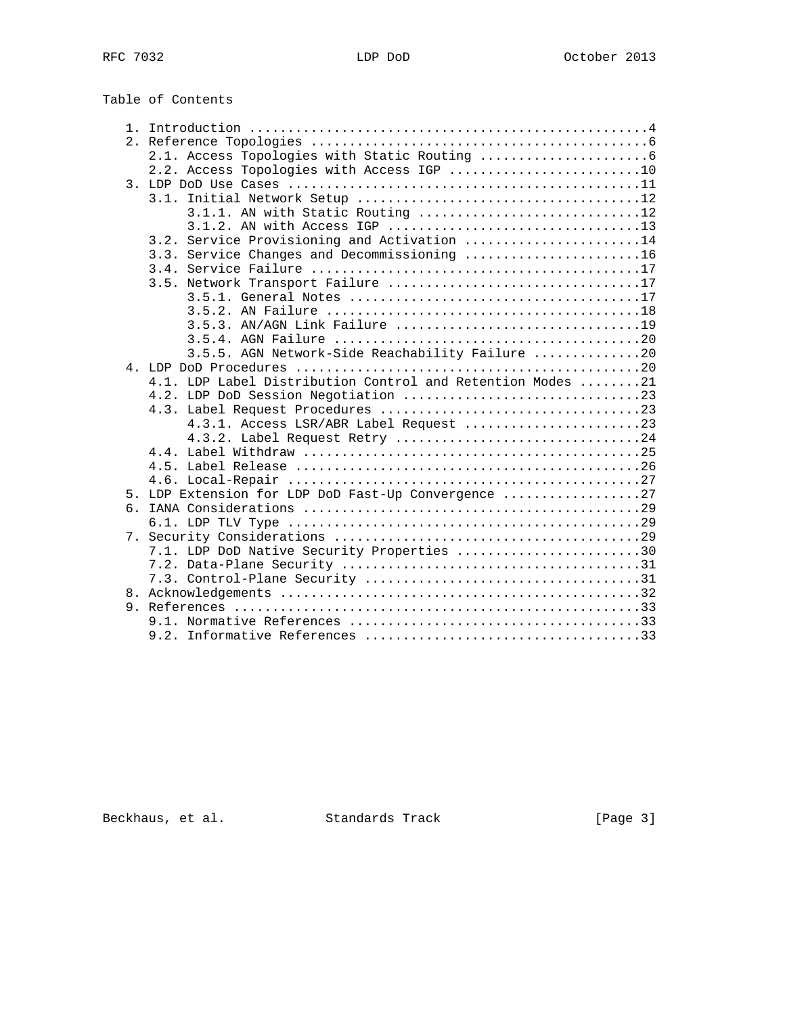Table of Contents

|  | 2.2. Access Topologies with Access IGP 10                  |
|--|------------------------------------------------------------|
|  |                                                            |
|  |                                                            |
|  | 3.1.1. AN with Static Routing 12                           |
|  |                                                            |
|  | 3.2. Service Provisioning and Activation 14                |
|  | 3.3. Service Changes and Decommissioning 16                |
|  |                                                            |
|  |                                                            |
|  |                                                            |
|  |                                                            |
|  | 3.5.3. AN/AGN Link Failure 19                              |
|  |                                                            |
|  | 3.5.5. AGN Network-Side Reachability Failure 20            |
|  |                                                            |
|  | 4.1. LDP Label Distribution Control and Retention Modes 21 |
|  | 4.2. LDP DoD Session Negotiation 23                        |
|  |                                                            |
|  |                                                            |
|  | 4.3.2. Label Request Retry 24                              |
|  |                                                            |
|  |                                                            |
|  |                                                            |
|  | 5. LDP Extension for LDP DoD Fast-Up Convergence 27        |
|  |                                                            |
|  |                                                            |
|  |                                                            |
|  | 7.1. LDP DoD Native Security Properties 30                 |
|  |                                                            |
|  |                                                            |
|  |                                                            |
|  |                                                            |
|  |                                                            |
|  |                                                            |
|  |                                                            |

Beckhaus, et al. Standards Track [Page 3]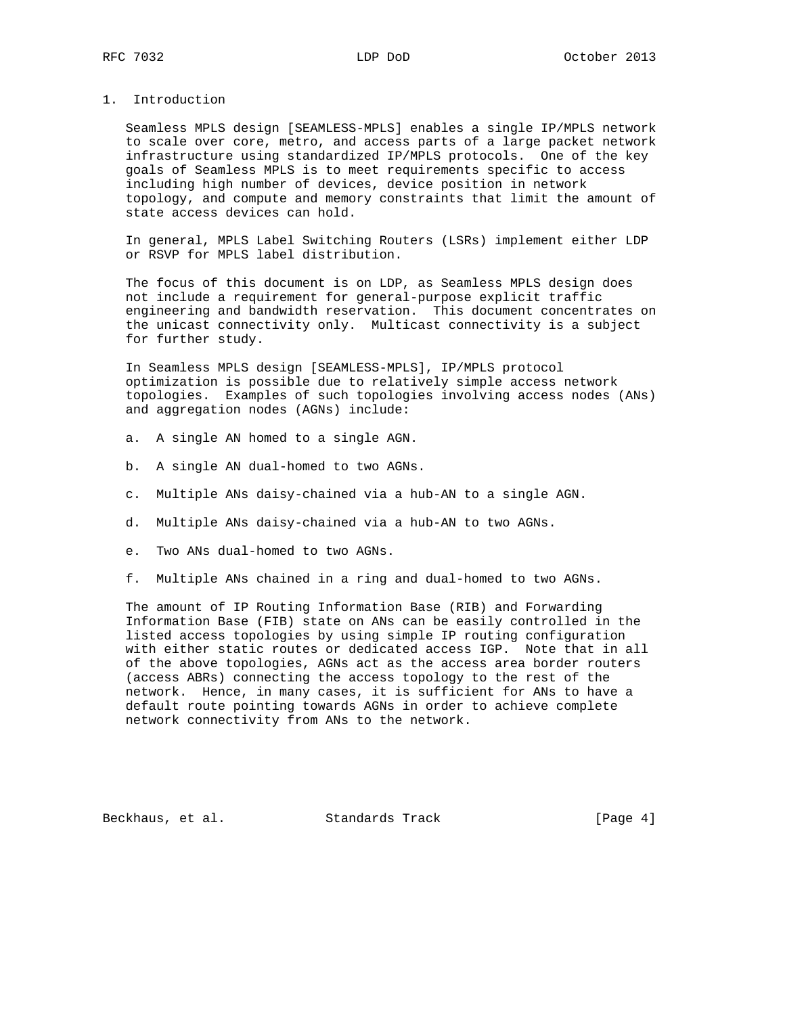# 1. Introduction

 Seamless MPLS design [SEAMLESS-MPLS] enables a single IP/MPLS network to scale over core, metro, and access parts of a large packet network infrastructure using standardized IP/MPLS protocols. One of the key goals of Seamless MPLS is to meet requirements specific to access including high number of devices, device position in network topology, and compute and memory constraints that limit the amount of state access devices can hold.

 In general, MPLS Label Switching Routers (LSRs) implement either LDP or RSVP for MPLS label distribution.

 The focus of this document is on LDP, as Seamless MPLS design does not include a requirement for general-purpose explicit traffic engineering and bandwidth reservation. This document concentrates on the unicast connectivity only. Multicast connectivity is a subject for further study.

 In Seamless MPLS design [SEAMLESS-MPLS], IP/MPLS protocol optimization is possible due to relatively simple access network topologies. Examples of such topologies involving access nodes (ANs) and aggregation nodes (AGNs) include:

- a. A single AN homed to a single AGN.
- b. A single AN dual-homed to two AGNs.
- c. Multiple ANs daisy-chained via a hub-AN to a single AGN.
- d. Multiple ANs daisy-chained via a hub-AN to two AGNs.
- e. Two ANs dual-homed to two AGNs.
- f. Multiple ANs chained in a ring and dual-homed to two AGNs.

 The amount of IP Routing Information Base (RIB) and Forwarding Information Base (FIB) state on ANs can be easily controlled in the listed access topologies by using simple IP routing configuration with either static routes or dedicated access IGP. Note that in all of the above topologies, AGNs act as the access area border routers (access ABRs) connecting the access topology to the rest of the network. Hence, in many cases, it is sufficient for ANs to have a default route pointing towards AGNs in order to achieve complete network connectivity from ANs to the network.

Beckhaus, et al. Standards Track [Page 4]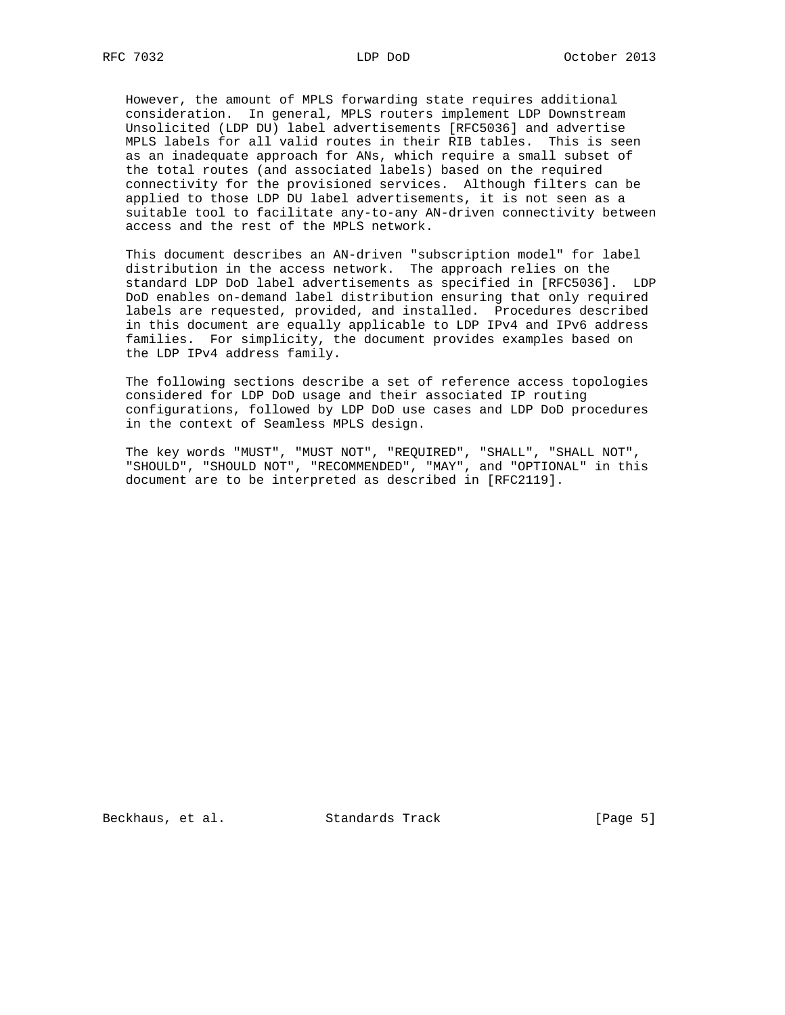However, the amount of MPLS forwarding state requires additional consideration. In general, MPLS routers implement LDP Downstream Unsolicited (LDP DU) label advertisements [RFC5036] and advertise MPLS labels for all valid routes in their RIB tables. This is seen as an inadequate approach for ANs, which require a small subset of the total routes (and associated labels) based on the required connectivity for the provisioned services. Although filters can be applied to those LDP DU label advertisements, it is not seen as a suitable tool to facilitate any-to-any AN-driven connectivity between access and the rest of the MPLS network.

 This document describes an AN-driven "subscription model" for label distribution in the access network. The approach relies on the standard LDP DoD label advertisements as specified in [RFC5036]. LDP DoD enables on-demand label distribution ensuring that only required labels are requested, provided, and installed. Procedures described in this document are equally applicable to LDP IPv4 and IPv6 address families. For simplicity, the document provides examples based on the LDP IPv4 address family.

 The following sections describe a set of reference access topologies considered for LDP DoD usage and their associated IP routing configurations, followed by LDP DoD use cases and LDP DoD procedures in the context of Seamless MPLS design.

 The key words "MUST", "MUST NOT", "REQUIRED", "SHALL", "SHALL NOT", "SHOULD", "SHOULD NOT", "RECOMMENDED", "MAY", and "OPTIONAL" in this document are to be interpreted as described in [RFC2119].

Beckhaus, et al. Standards Track [Page 5]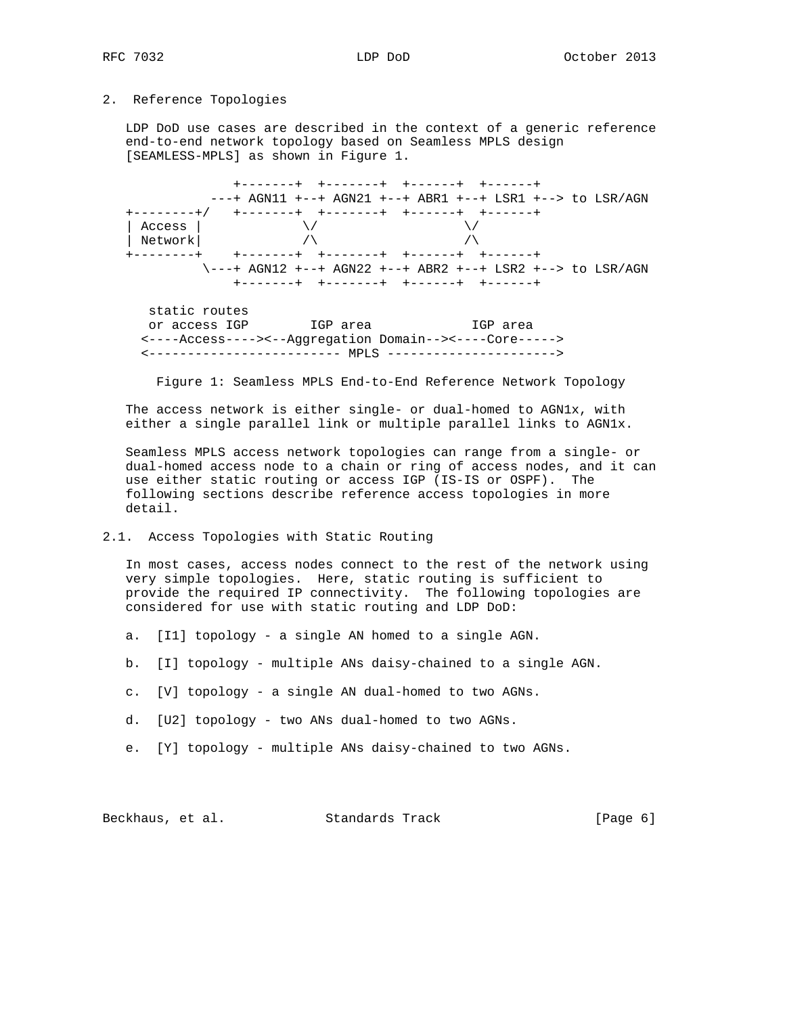## 2. Reference Topologies

 LDP DoD use cases are described in the context of a generic reference end-to-end network topology based on Seamless MPLS design [SEAMLESS-MPLS] as shown in Figure 1.

 +-------+ +-------+ +------+ +------+ ---+ AGN11 +--+ AGN21 +--+ ABR1 +--+ LSR1 +--> to LSR/AGN +--------+/ +-------+ +-------+ +------+ +------+ | Access |  $\times/$  $|\hspace{.1cm} \text{Network}|\hspace{.16cm}$  /\  $\hspace{.16cm}$  /\  $\hspace{.16cm}$  +--------+ +-------+ +-------+ +------+ +------+ \---+ AGN12 +--+ AGN22 +--+ ABR2 +--+ LSR2 +--> to LSR/AGN +-------+ +-------+ +------+ +------+ static routes or access IGP IGP area IGP area <----Access----><--Aggregation Domain--><----Core----->

<------------------------- MPLS ---------------------->

Figure 1: Seamless MPLS End-to-End Reference Network Topology

The access network is either single- or dual-homed to AGN1x, with either a single parallel link or multiple parallel links to AGN1x.

 Seamless MPLS access network topologies can range from a single- or dual-homed access node to a chain or ring of access nodes, and it can use either static routing or access IGP (IS-IS or OSPF). The following sections describe reference access topologies in more detail.

2.1. Access Topologies with Static Routing

 In most cases, access nodes connect to the rest of the network using very simple topologies. Here, static routing is sufficient to provide the required IP connectivity. The following topologies are considered for use with static routing and LDP DoD:

- a. [I1] topology a single AN homed to a single AGN.
- b. [I] topology multiple ANs daisy-chained to a single AGN.
- c. [V] topology a single AN dual-homed to two AGNs.
- d. [U2] topology two ANs dual-homed to two AGNs.
- e. [Y] topology multiple ANs daisy-chained to two AGNs.

Beckhaus, et al. Standards Track [Page 6]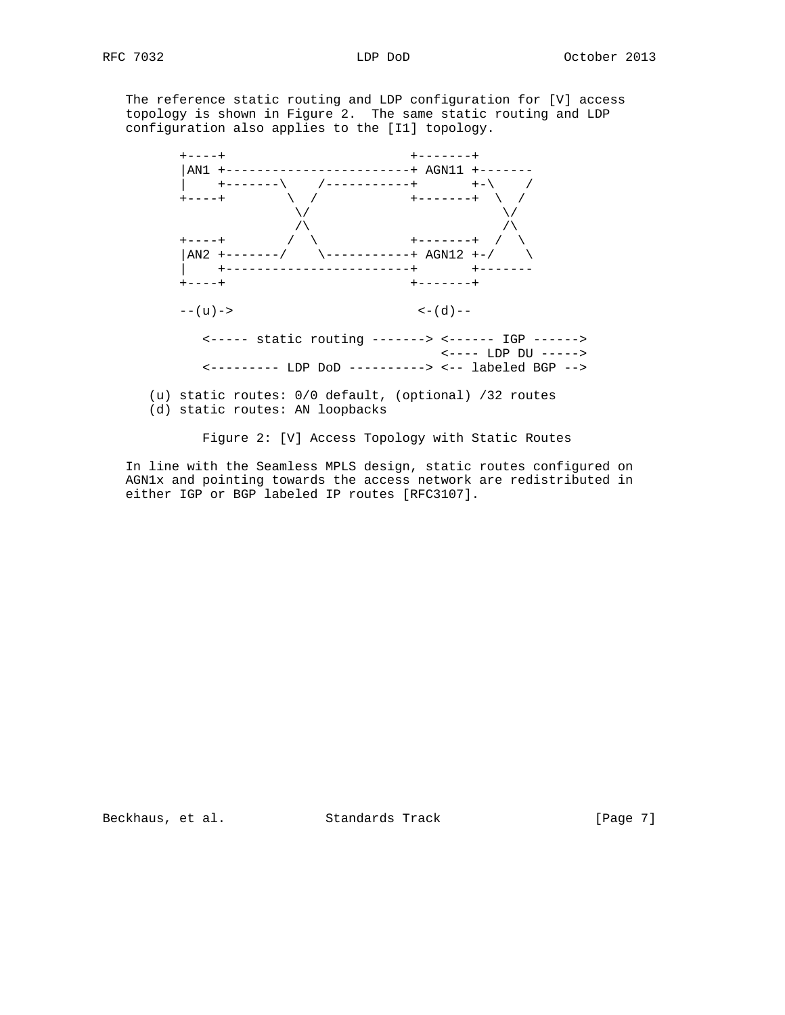The reference static routing and LDP configuration for [V] access topology is shown in Figure 2. The same static routing and LDP configuration also applies to the [I1] topology.



Figure 2: [V] Access Topology with Static Routes

 In line with the Seamless MPLS design, static routes configured on AGN1x and pointing towards the access network are redistributed in either IGP or BGP labeled IP routes [RFC3107].

Beckhaus, et al. Standards Track [Page 7]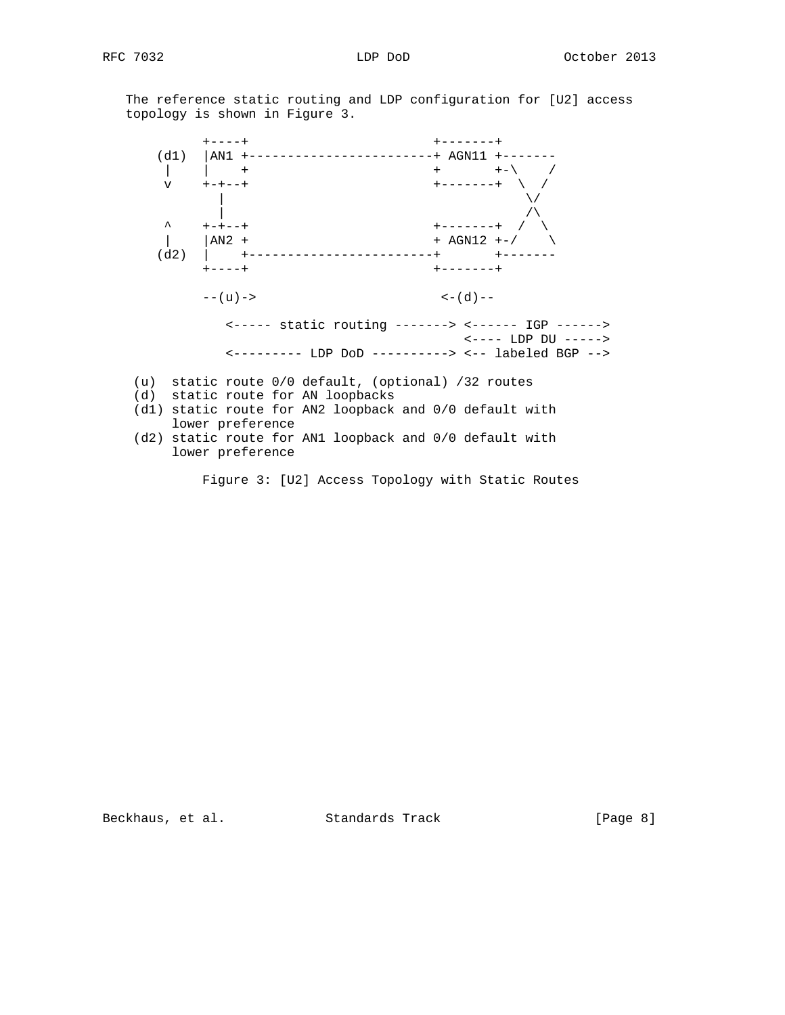The reference static routing and LDP configuration for [U2] access topology is shown in Figure 3.

 +----+ +-------+ (d1) |AN1 +------------------------+ AGN11 +------- | | + + +-\ / v +-+--+ +-------+ \ /  $\sqrt{ }$  $\sqrt{ }$  ^ +-+--+ +-------+ / \  $|\text{AN2 +} + \text{AGN12 +-} \rangle$  (d2) | +------------------------+ +------- +----+ +-------+  $---(u)$  ->  $---(d)$  -- <----- static routing -------> <------ IGP ------> <---- LDP DU -----> <--------- LDP DoD ----------> <-- labeled BGP --> (u) static route 0/0 default, (optional) /32 routes (d) static route for AN loopbacks (d1) static route for AN2 loopback and 0/0 default with

- lower preference
- (d2) static route for AN1 loopback and 0/0 default with lower preference

Figure 3: [U2] Access Topology with Static Routes

Beckhaus, et al. Standards Track [Page 8]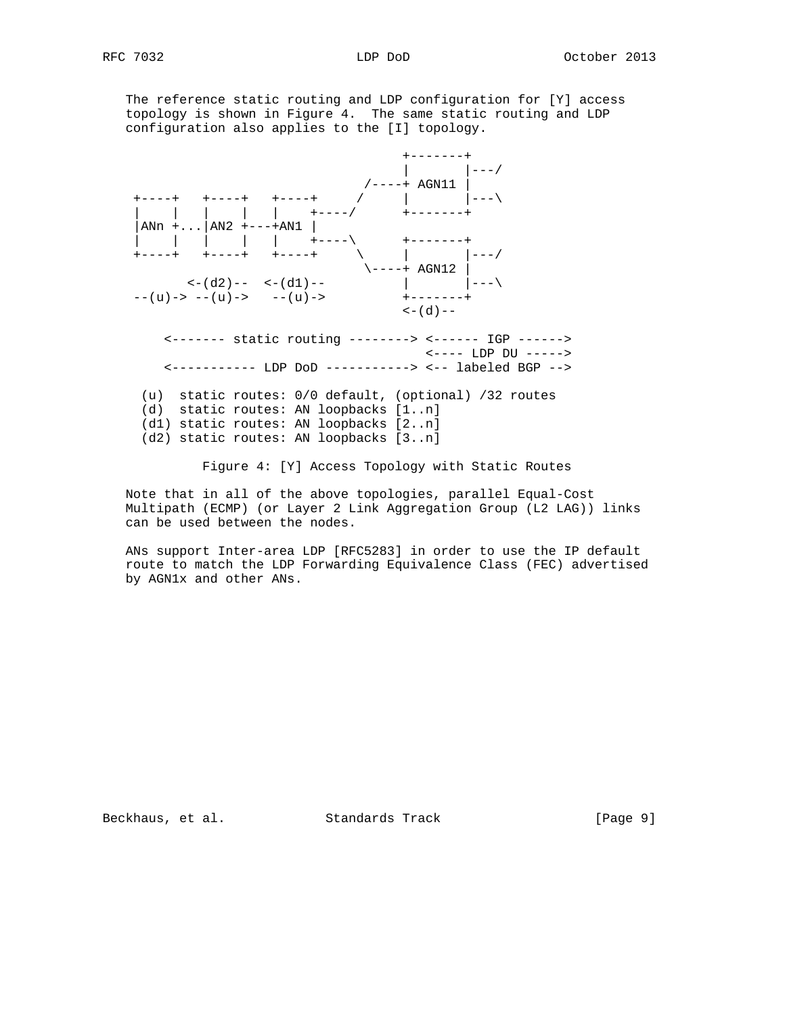The reference static routing and LDP configuration for [Y] access topology is shown in Figure 4. The same static routing and LDP configuration also applies to the [I] topology.



Figure 4: [Y] Access Topology with Static Routes

 Note that in all of the above topologies, parallel Equal-Cost Multipath (ECMP) (or Layer 2 Link Aggregation Group (L2 LAG)) links can be used between the nodes.

 ANs support Inter-area LDP [RFC5283] in order to use the IP default route to match the LDP Forwarding Equivalence Class (FEC) advertised by AGN1x and other ANs.

Beckhaus, et al. Standards Track [Page 9]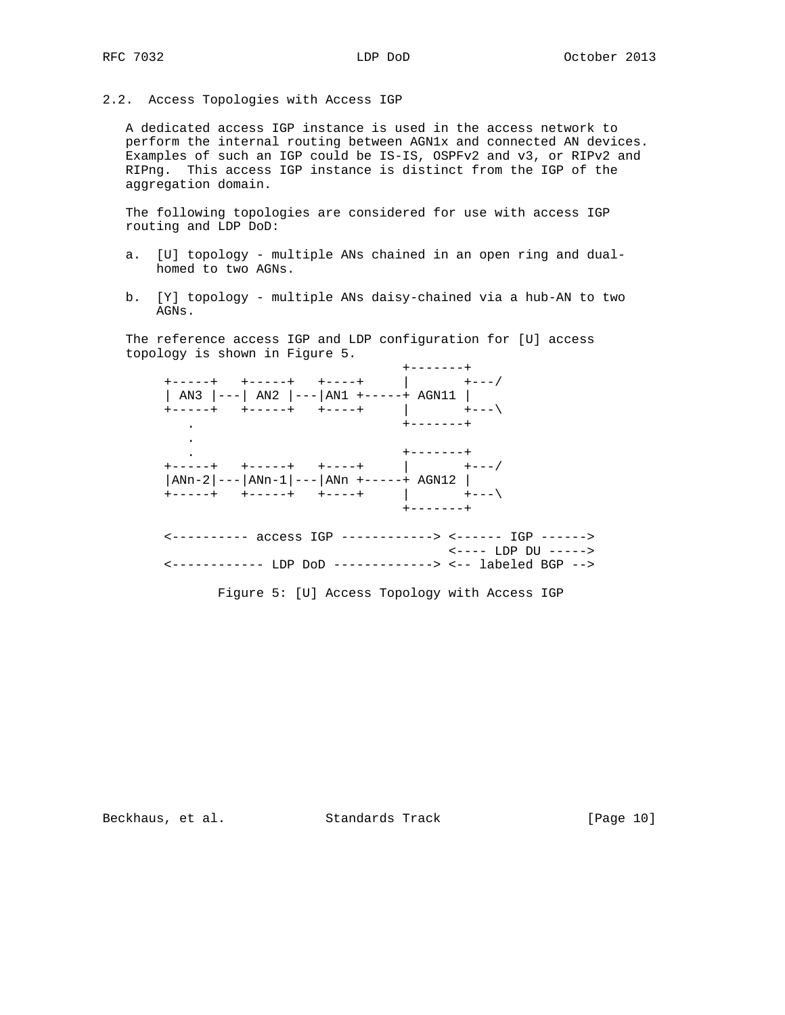2.2. Access Topologies with Access IGP

 A dedicated access IGP instance is used in the access network to perform the internal routing between AGN1x and connected AN devices. Examples of such an IGP could be IS-IS, OSPFv2 and v3, or RIPv2 and RIPng. This access IGP instance is distinct from the IGP of the aggregation domain.

 The following topologies are considered for use with access IGP routing and LDP DoD:

- a. [U] topology multiple ANs chained in an open ring and dual homed to two AGNs.
- b. [Y] topology multiple ANs daisy-chained via a hub-AN to two AGNs.

 The reference access IGP and LDP configuration for [U] access topology is shown in Figure 5.

 +-------+ +-----+ +-----+ +----+ | +---/ | AN3 |---| AN2 |---|AN1 +-----+ AGN11 | +-----+ +-----+ +----+ | +---\ . +-------+ . . +-------+ +-----+ +-----+ +----+ | +---/ |ANn-2|---|ANn-1|---|ANn +-----+ AGN12 | +-----+ +-----+ +----+ | +---\ +-------+ <---------- access IGP ------------> <------ IGP ------> <---- LDP DU -----> <------------ LDP DoD -------------> <-- labeled BGP -->

Figure 5: [U] Access Topology with Access IGP

Beckhaus, et al. Standards Track [Page 10]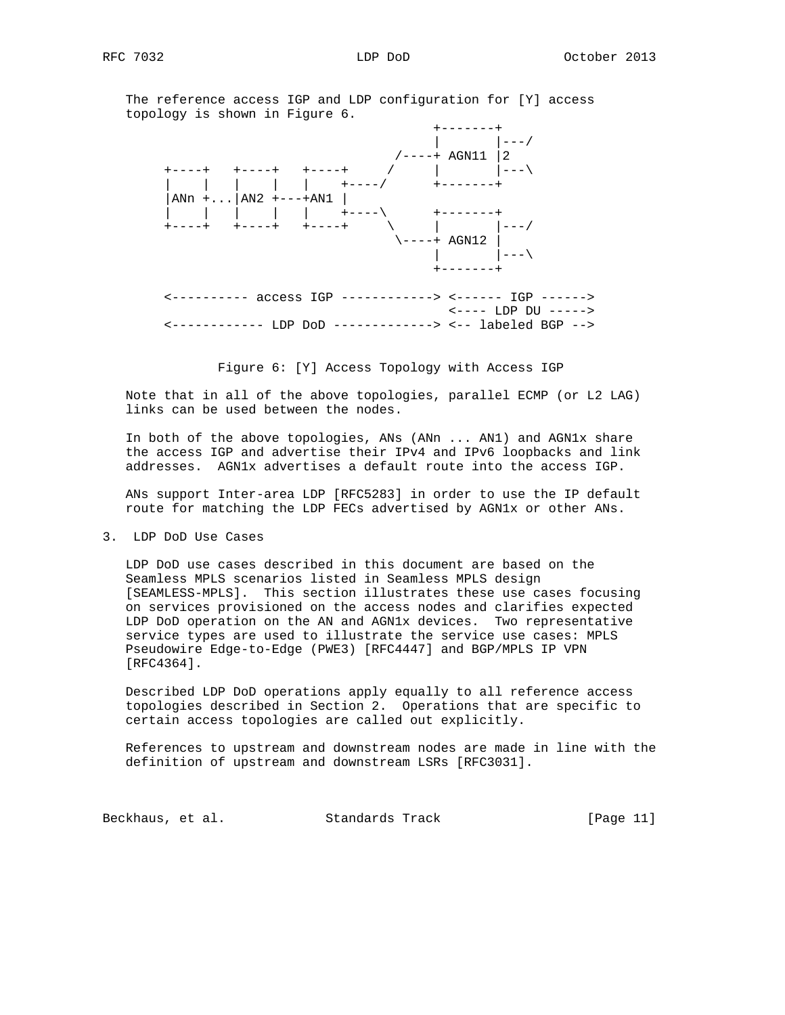The reference access IGP and LDP configuration for [Y] access topology is shown in Figure 6.



Figure 6: [Y] Access Topology with Access IGP

 Note that in all of the above topologies, parallel ECMP (or L2 LAG) links can be used between the nodes.

 In both of the above topologies, ANs (ANn ... AN1) and AGN1x share the access IGP and advertise their IPv4 and IPv6 loopbacks and link addresses. AGN1x advertises a default route into the access IGP.

 ANs support Inter-area LDP [RFC5283] in order to use the IP default route for matching the LDP FECs advertised by AGN1x or other ANs.

3. LDP DoD Use Cases

 LDP DoD use cases described in this document are based on the Seamless MPLS scenarios listed in Seamless MPLS design [SEAMLESS-MPLS]. This section illustrates these use cases focusing on services provisioned on the access nodes and clarifies expected LDP DoD operation on the AN and AGN1x devices. Two representative service types are used to illustrate the service use cases: MPLS Pseudowire Edge-to-Edge (PWE3) [RFC4447] and BGP/MPLS IP VPN [RFC4364].

 Described LDP DoD operations apply equally to all reference access topologies described in Section 2. Operations that are specific to certain access topologies are called out explicitly.

 References to upstream and downstream nodes are made in line with the definition of upstream and downstream LSRs [RFC3031].

Beckhaus, et al. Standards Track [Page 11]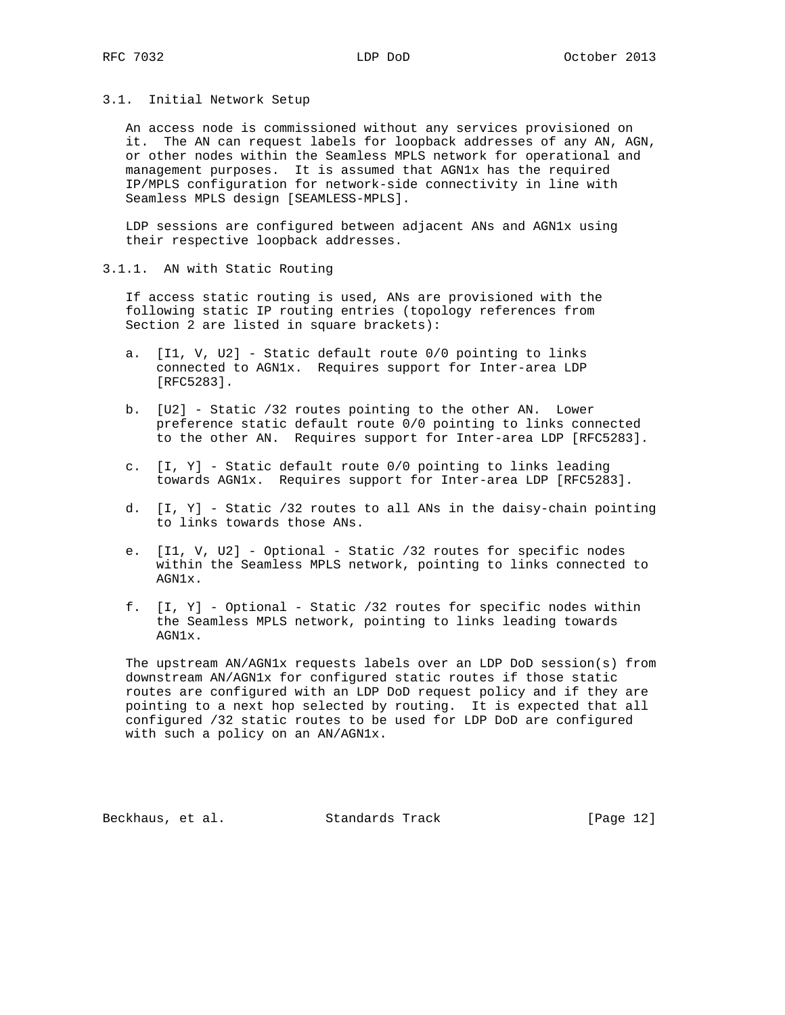### 3.1. Initial Network Setup

 An access node is commissioned without any services provisioned on it. The AN can request labels for loopback addresses of any AN, AGN, or other nodes within the Seamless MPLS network for operational and management purposes. It is assumed that AGN1x has the required IP/MPLS configuration for network-side connectivity in line with Seamless MPLS design [SEAMLESS-MPLS].

 LDP sessions are configured between adjacent ANs and AGN1x using their respective loopback addresses.

3.1.1. AN with Static Routing

 If access static routing is used, ANs are provisioned with the following static IP routing entries (topology references from Section 2 are listed in square brackets):

- a. [I1, V, U2] Static default route 0/0 pointing to links connected to AGN1x. Requires support for Inter-area LDP [RFC5283].
- b. [U2] Static /32 routes pointing to the other AN. Lower preference static default route 0/0 pointing to links connected to the other AN. Requires support for Inter-area LDP [RFC5283].
- c. [I, Y] Static default route 0/0 pointing to links leading towards AGN1x. Requires support for Inter-area LDP [RFC5283].
- d. [I, Y] Static /32 routes to all ANs in the daisy-chain pointing to links towards those ANs.
- e. [I1, V, U2] Optional Static /32 routes for specific nodes within the Seamless MPLS network, pointing to links connected to AGN1x.
- f. [I, Y] Optional Static /32 routes for specific nodes within the Seamless MPLS network, pointing to links leading towards AGN1x.

 The upstream AN/AGN1x requests labels over an LDP DoD session(s) from downstream AN/AGN1x for configured static routes if those static routes are configured with an LDP DoD request policy and if they are pointing to a next hop selected by routing. It is expected that all configured /32 static routes to be used for LDP DoD are configured with such a policy on an AN/AGN1x.

Beckhaus, et al. Standards Track [Page 12]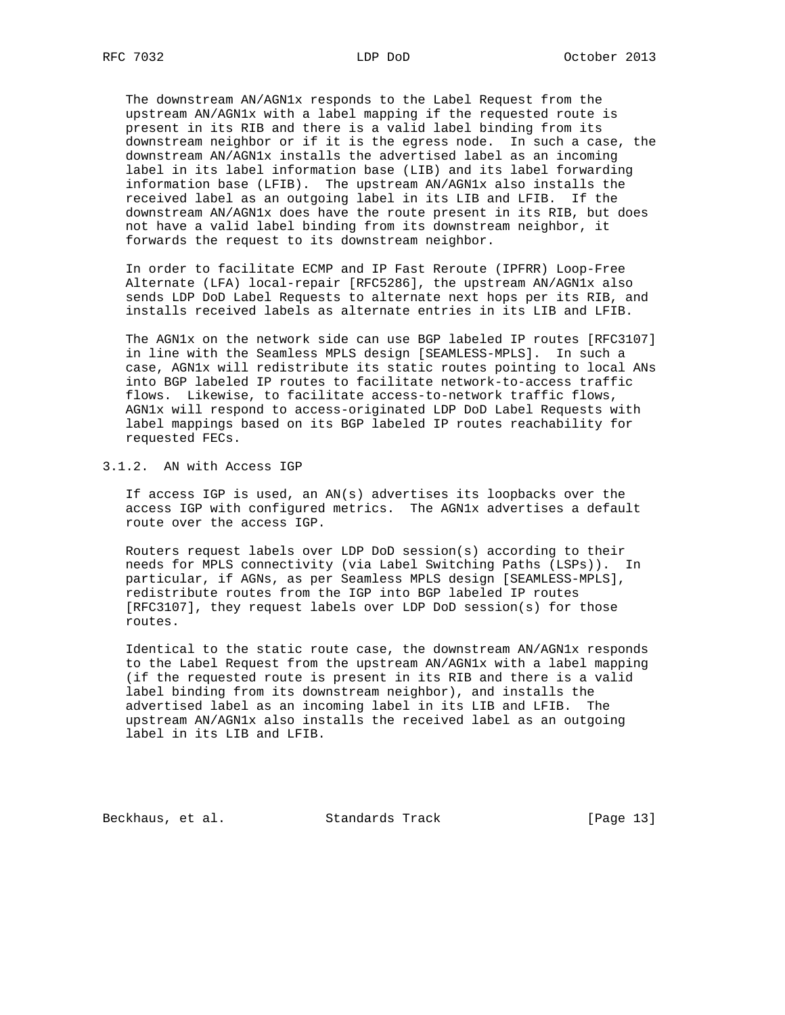The downstream AN/AGN1x responds to the Label Request from the upstream AN/AGN1x with a label mapping if the requested route is present in its RIB and there is a valid label binding from its downstream neighbor or if it is the egress node. In such a case, the downstream AN/AGN1x installs the advertised label as an incoming label in its label information base (LIB) and its label forwarding information base (LFIB). The upstream AN/AGN1x also installs the received label as an outgoing label in its LIB and LFIB. If the downstream AN/AGN1x does have the route present in its RIB, but does not have a valid label binding from its downstream neighbor, it forwards the request to its downstream neighbor.

 In order to facilitate ECMP and IP Fast Reroute (IPFRR) Loop-Free Alternate (LFA) local-repair [RFC5286], the upstream AN/AGN1x also sends LDP DoD Label Requests to alternate next hops per its RIB, and installs received labels as alternate entries in its LIB and LFIB.

 The AGN1x on the network side can use BGP labeled IP routes [RFC3107] in line with the Seamless MPLS design [SEAMLESS-MPLS]. In such a case, AGN1x will redistribute its static routes pointing to local ANs into BGP labeled IP routes to facilitate network-to-access traffic flows. Likewise, to facilitate access-to-network traffic flows, AGN1x will respond to access-originated LDP DoD Label Requests with label mappings based on its BGP labeled IP routes reachability for requested FECs.

# 3.1.2. AN with Access IGP

 If access IGP is used, an AN(s) advertises its loopbacks over the access IGP with configured metrics. The AGN1x advertises a default route over the access IGP.

 Routers request labels over LDP DoD session(s) according to their needs for MPLS connectivity (via Label Switching Paths (LSPs)). In particular, if AGNs, as per Seamless MPLS design [SEAMLESS-MPLS], redistribute routes from the IGP into BGP labeled IP routes [RFC3107], they request labels over LDP DoD session(s) for those routes.

 Identical to the static route case, the downstream AN/AGN1x responds to the Label Request from the upstream AN/AGN1x with a label mapping (if the requested route is present in its RIB and there is a valid label binding from its downstream neighbor), and installs the advertised label as an incoming label in its LIB and LFIB. The upstream AN/AGN1x also installs the received label as an outgoing label in its LIB and LFIB.

Beckhaus, et al. Standards Track [Page 13]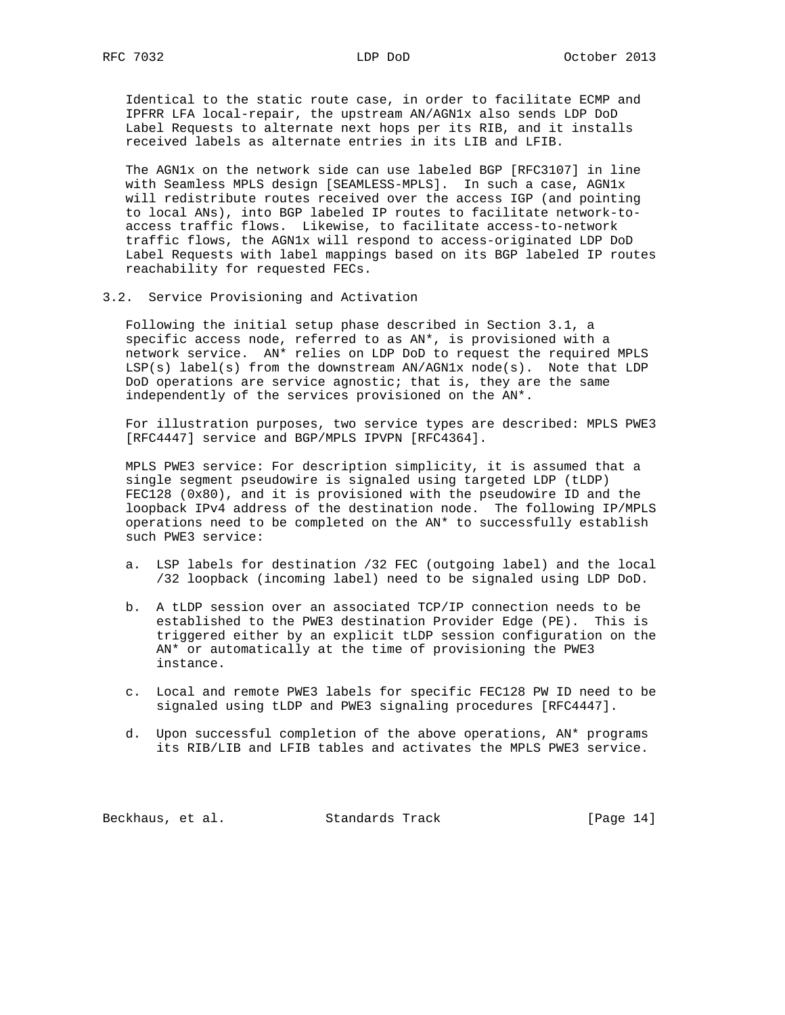Identical to the static route case, in order to facilitate ECMP and IPFRR LFA local-repair, the upstream AN/AGN1x also sends LDP DoD Label Requests to alternate next hops per its RIB, and it installs received labels as alternate entries in its LIB and LFIB.

 The AGN1x on the network side can use labeled BGP [RFC3107] in line with Seamless MPLS design [SEAMLESS-MPLS]. In such a case, AGN1x will redistribute routes received over the access IGP (and pointing to local ANs), into BGP labeled IP routes to facilitate network-to access traffic flows. Likewise, to facilitate access-to-network traffic flows, the AGN1x will respond to access-originated LDP DoD Label Requests with label mappings based on its BGP labeled IP routes reachability for requested FECs.

3.2. Service Provisioning and Activation

 Following the initial setup phase described in Section 3.1, a specific access node, referred to as AN\*, is provisioned with a network service. AN\* relies on LDP DoD to request the required MPLS LSP(s) label(s) from the downstream AN/AGN1x node(s). Note that LDP DoD operations are service agnostic; that is, they are the same independently of the services provisioned on the AN\*.

 For illustration purposes, two service types are described: MPLS PWE3 [RFC4447] service and BGP/MPLS IPVPN [RFC4364].

 MPLS PWE3 service: For description simplicity, it is assumed that a single segment pseudowire is signaled using targeted LDP (tLDP) FEC128 (0x80), and it is provisioned with the pseudowire ID and the loopback IPv4 address of the destination node. The following IP/MPLS operations need to be completed on the AN\* to successfully establish such PWE3 service:

- a. LSP labels for destination /32 FEC (outgoing label) and the local /32 loopback (incoming label) need to be signaled using LDP DoD.
- b. A tLDP session over an associated TCP/IP connection needs to be established to the PWE3 destination Provider Edge (PE). This is triggered either by an explicit tLDP session configuration on the AN\* or automatically at the time of provisioning the PWE3 instance.
- c. Local and remote PWE3 labels for specific FEC128 PW ID need to be signaled using tLDP and PWE3 signaling procedures [RFC4447].
- d. Upon successful completion of the above operations, AN\* programs its RIB/LIB and LFIB tables and activates the MPLS PWE3 service.

Beckhaus, et al. Standards Track [Page 14]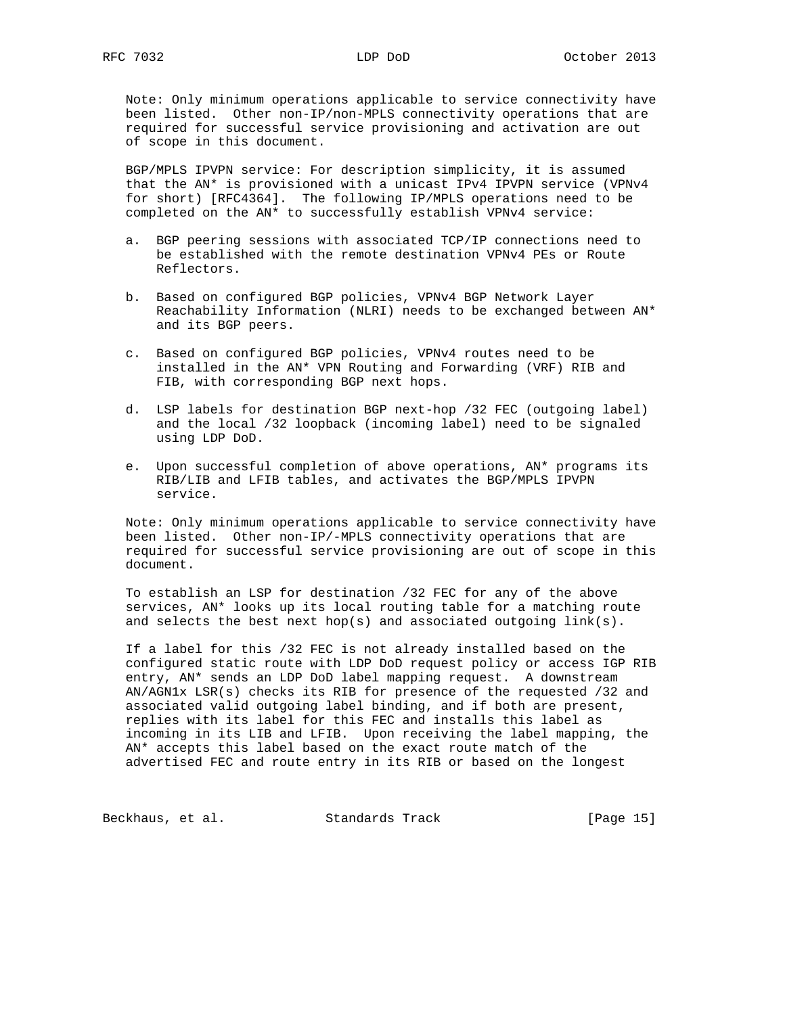Note: Only minimum operations applicable to service connectivity have been listed. Other non-IP/non-MPLS connectivity operations that are required for successful service provisioning and activation are out of scope in this document.

 BGP/MPLS IPVPN service: For description simplicity, it is assumed that the AN\* is provisioned with a unicast IPv4 IPVPN service (VPNv4 for short) [RFC4364]. The following IP/MPLS operations need to be completed on the AN\* to successfully establish VPNv4 service:

- a. BGP peering sessions with associated TCP/IP connections need to be established with the remote destination VPNv4 PEs or Route Reflectors.
- b. Based on configured BGP policies, VPNv4 BGP Network Layer Reachability Information (NLRI) needs to be exchanged between AN\* and its BGP peers.
- c. Based on configured BGP policies, VPNv4 routes need to be installed in the AN\* VPN Routing and Forwarding (VRF) RIB and FIB, with corresponding BGP next hops.
- d. LSP labels for destination BGP next-hop /32 FEC (outgoing label) and the local /32 loopback (incoming label) need to be signaled using LDP DoD.
- e. Upon successful completion of above operations, AN\* programs its RIB/LIB and LFIB tables, and activates the BGP/MPLS IPVPN service.

 Note: Only minimum operations applicable to service connectivity have been listed. Other non-IP/-MPLS connectivity operations that are required for successful service provisioning are out of scope in this document.

 To establish an LSP for destination /32 FEC for any of the above services, AN\* looks up its local routing table for a matching route and selects the best next hop(s) and associated outgoing  $link(s)$ .

 If a label for this /32 FEC is not already installed based on the configured static route with LDP DoD request policy or access IGP RIB entry, AN\* sends an LDP DoD label mapping request. A downstream AN/AGN1x LSR(s) checks its RIB for presence of the requested /32 and associated valid outgoing label binding, and if both are present, replies with its label for this FEC and installs this label as incoming in its LIB and LFIB. Upon receiving the label mapping, the AN\* accepts this label based on the exact route match of the advertised FEC and route entry in its RIB or based on the longest

Beckhaus, et al. Standards Track [Page 15]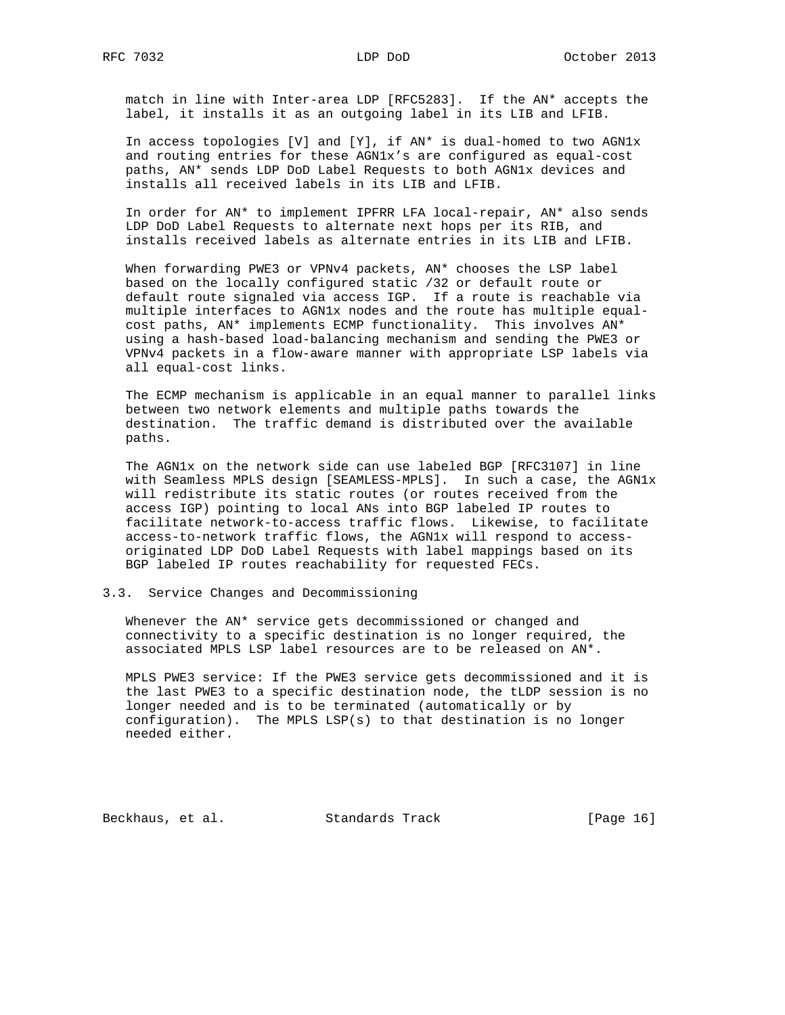match in line with Inter-area LDP [RFC5283]. If the AN\* accepts the label, it installs it as an outgoing label in its LIB and LFIB.

 In access topologies [V] and [Y], if AN\* is dual-homed to two AGN1x and routing entries for these AGN1x's are configured as equal-cost paths, AN\* sends LDP DoD Label Requests to both AGN1x devices and installs all received labels in its LIB and LFIB.

 In order for AN\* to implement IPFRR LFA local-repair, AN\* also sends LDP DoD Label Requests to alternate next hops per its RIB, and installs received labels as alternate entries in its LIB and LFIB.

 When forwarding PWE3 or VPNv4 packets, AN\* chooses the LSP label based on the locally configured static /32 or default route or default route signaled via access IGP. If a route is reachable via multiple interfaces to AGN1x nodes and the route has multiple equal cost paths, AN\* implements ECMP functionality. This involves AN\* using a hash-based load-balancing mechanism and sending the PWE3 or VPNv4 packets in a flow-aware manner with appropriate LSP labels via all equal-cost links.

 The ECMP mechanism is applicable in an equal manner to parallel links between two network elements and multiple paths towards the destination. The traffic demand is distributed over the available paths.

 The AGN1x on the network side can use labeled BGP [RFC3107] in line with Seamless MPLS design [SEAMLESS-MPLS]. In such a case, the AGN1x will redistribute its static routes (or routes received from the access IGP) pointing to local ANs into BGP labeled IP routes to facilitate network-to-access traffic flows. Likewise, to facilitate access-to-network traffic flows, the AGN1x will respond to access originated LDP DoD Label Requests with label mappings based on its BGP labeled IP routes reachability for requested FECs.

## 3.3. Service Changes and Decommissioning

 Whenever the AN\* service gets decommissioned or changed and connectivity to a specific destination is no longer required, the associated MPLS LSP label resources are to be released on AN\*.

 MPLS PWE3 service: If the PWE3 service gets decommissioned and it is the last PWE3 to a specific destination node, the tLDP session is no longer needed and is to be terminated (automatically or by configuration). The MPLS LSP(s) to that destination is no longer needed either.

Beckhaus, et al. Standards Track [Page 16]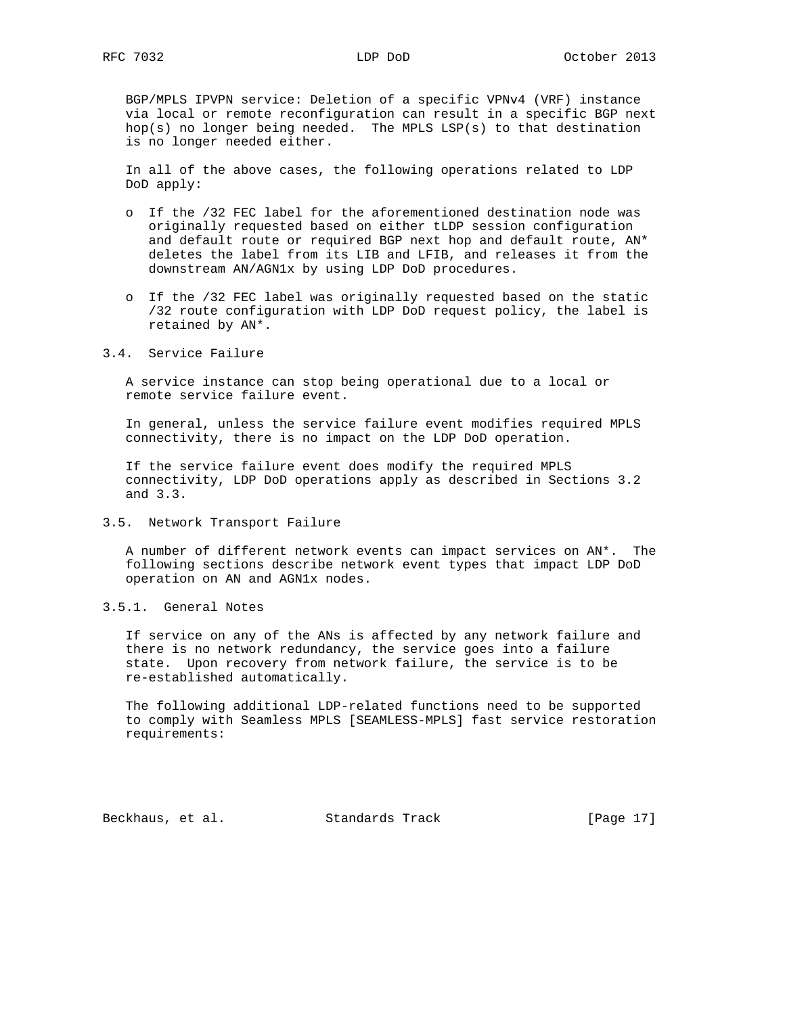BGP/MPLS IPVPN service: Deletion of a specific VPNv4 (VRF) instance via local or remote reconfiguration can result in a specific BGP next hop(s) no longer being needed. The MPLS LSP(s) to that destination is no longer needed either.

 In all of the above cases, the following operations related to LDP DoD apply:

- o If the /32 FEC label for the aforementioned destination node was originally requested based on either tLDP session configuration and default route or required BGP next hop and default route, AN\* deletes the label from its LIB and LFIB, and releases it from the downstream AN/AGN1x by using LDP DoD procedures.
- o If the /32 FEC label was originally requested based on the static /32 route configuration with LDP DoD request policy, the label is retained by AN\*.

3.4. Service Failure

 A service instance can stop being operational due to a local or remote service failure event.

 In general, unless the service failure event modifies required MPLS connectivity, there is no impact on the LDP DoD operation.

 If the service failure event does modify the required MPLS connectivity, LDP DoD operations apply as described in Sections 3.2 and 3.3.

3.5. Network Transport Failure

 A number of different network events can impact services on AN\*. The following sections describe network event types that impact LDP DoD operation on AN and AGN1x nodes.

3.5.1. General Notes

 If service on any of the ANs is affected by any network failure and there is no network redundancy, the service goes into a failure state. Upon recovery from network failure, the service is to be re-established automatically.

 The following additional LDP-related functions need to be supported to comply with Seamless MPLS [SEAMLESS-MPLS] fast service restoration requirements:

Beckhaus, et al. Standards Track [Page 17]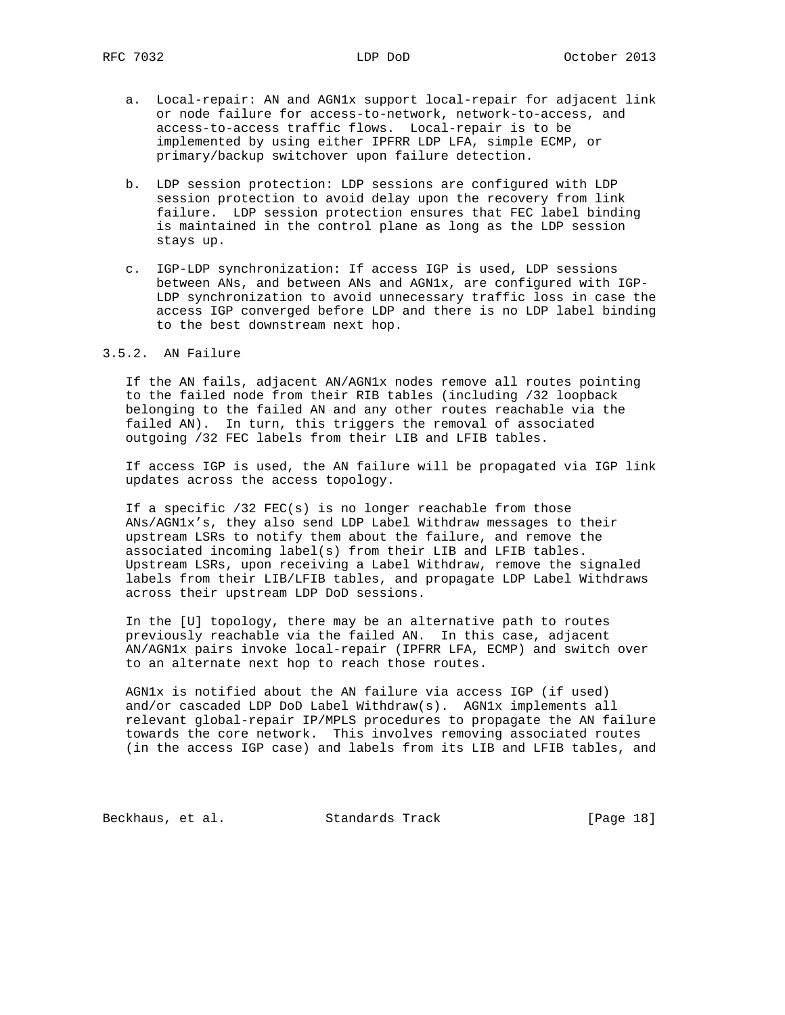- a. Local-repair: AN and AGN1x support local-repair for adjacent link or node failure for access-to-network, network-to-access, and access-to-access traffic flows. Local-repair is to be implemented by using either IPFRR LDP LFA, simple ECMP, or primary/backup switchover upon failure detection.
- b. LDP session protection: LDP sessions are configured with LDP session protection to avoid delay upon the recovery from link failure. LDP session protection ensures that FEC label binding is maintained in the control plane as long as the LDP session stays up.
- c. IGP-LDP synchronization: If access IGP is used, LDP sessions between ANs, and between ANs and AGN1x, are configured with IGP- LDP synchronization to avoid unnecessary traffic loss in case the access IGP converged before LDP and there is no LDP label binding to the best downstream next hop.

# 3.5.2. AN Failure

 If the AN fails, adjacent AN/AGN1x nodes remove all routes pointing to the failed node from their RIB tables (including /32 loopback belonging to the failed AN and any other routes reachable via the failed AN). In turn, this triggers the removal of associated outgoing /32 FEC labels from their LIB and LFIB tables.

 If access IGP is used, the AN failure will be propagated via IGP link updates across the access topology.

 If a specific /32 FEC(s) is no longer reachable from those ANs/AGN1x's, they also send LDP Label Withdraw messages to their upstream LSRs to notify them about the failure, and remove the associated incoming label(s) from their LIB and LFIB tables. Upstream LSRs, upon receiving a Label Withdraw, remove the signaled labels from their LIB/LFIB tables, and propagate LDP Label Withdraws across their upstream LDP DoD sessions.

 In the [U] topology, there may be an alternative path to routes previously reachable via the failed AN. In this case, adjacent AN/AGN1x pairs invoke local-repair (IPFRR LFA, ECMP) and switch over to an alternate next hop to reach those routes.

 AGN1x is notified about the AN failure via access IGP (if used) and/or cascaded LDP DoD Label Withdraw(s). AGN1x implements all relevant global-repair IP/MPLS procedures to propagate the AN failure towards the core network. This involves removing associated routes (in the access IGP case) and labels from its LIB and LFIB tables, and

Beckhaus, et al. Standards Track [Page 18]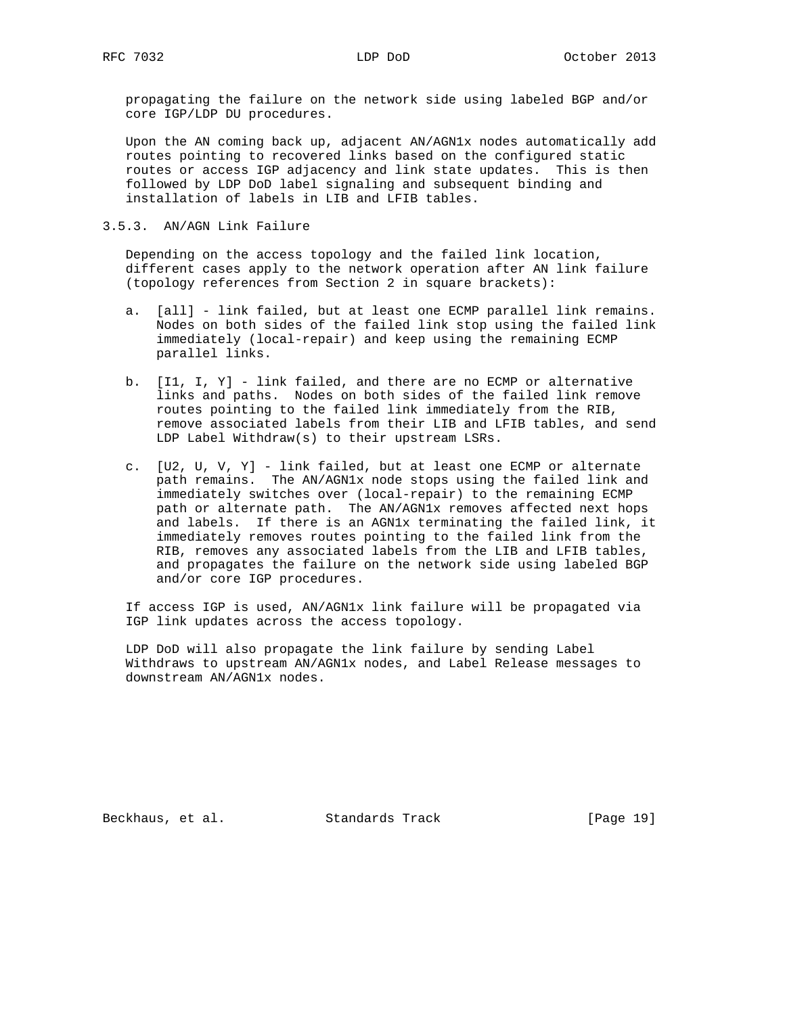propagating the failure on the network side using labeled BGP and/or core IGP/LDP DU procedures.

 Upon the AN coming back up, adjacent AN/AGN1x nodes automatically add routes pointing to recovered links based on the configured static routes or access IGP adjacency and link state updates. This is then followed by LDP DoD label signaling and subsequent binding and installation of labels in LIB and LFIB tables.

3.5.3. AN/AGN Link Failure

 Depending on the access topology and the failed link location, different cases apply to the network operation after AN link failure (topology references from Section 2 in square brackets):

- a. [all] link failed, but at least one ECMP parallel link remains. Nodes on both sides of the failed link stop using the failed link immediately (local-repair) and keep using the remaining ECMP parallel links.
- b. [I1, I, Y] link failed, and there are no ECMP or alternative links and paths. Nodes on both sides of the failed link remove routes pointing to the failed link immediately from the RIB, remove associated labels from their LIB and LFIB tables, and send LDP Label Withdraw(s) to their upstream LSRs.
- c. [U2, U, V, Y] link failed, but at least one ECMP or alternate path remains. The AN/AGN1x node stops using the failed link and immediately switches over (local-repair) to the remaining ECMP path or alternate path. The AN/AGN1x removes affected next hops and labels. If there is an AGN1x terminating the failed link, it immediately removes routes pointing to the failed link from the RIB, removes any associated labels from the LIB and LFIB tables, and propagates the failure on the network side using labeled BGP and/or core IGP procedures.

 If access IGP is used, AN/AGN1x link failure will be propagated via IGP link updates across the access topology.

 LDP DoD will also propagate the link failure by sending Label Withdraws to upstream AN/AGN1x nodes, and Label Release messages to downstream AN/AGN1x nodes.

Beckhaus, et al. Standards Track [Page 19]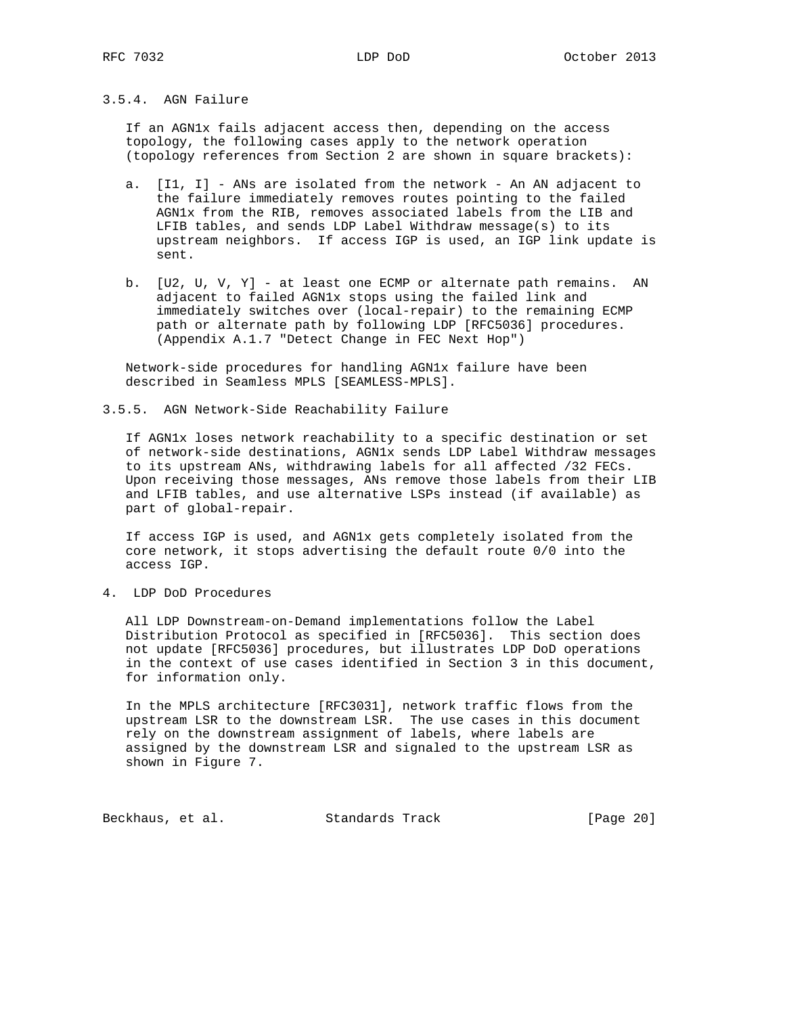# 3.5.4. AGN Failure

 If an AGN1x fails adjacent access then, depending on the access topology, the following cases apply to the network operation (topology references from Section 2 are shown in square brackets):

- a. [I1, I] ANs are isolated from the network An AN adjacent to the failure immediately removes routes pointing to the failed AGN1x from the RIB, removes associated labels from the LIB and LFIB tables, and sends LDP Label Withdraw message(s) to its upstream neighbors. If access IGP is used, an IGP link update is sent.
- b. [U2, U, V, Y] at least one ECMP or alternate path remains. AN adjacent to failed AGN1x stops using the failed link and immediately switches over (local-repair) to the remaining ECMP path or alternate path by following LDP [RFC5036] procedures. (Appendix A.1.7 "Detect Change in FEC Next Hop")

 Network-side procedures for handling AGN1x failure have been described in Seamless MPLS [SEAMLESS-MPLS].

3.5.5. AGN Network-Side Reachability Failure

 If AGN1x loses network reachability to a specific destination or set of network-side destinations, AGN1x sends LDP Label Withdraw messages to its upstream ANs, withdrawing labels for all affected /32 FECs. Upon receiving those messages, ANs remove those labels from their LIB and LFIB tables, and use alternative LSPs instead (if available) as part of global-repair.

 If access IGP is used, and AGN1x gets completely isolated from the core network, it stops advertising the default route 0/0 into the access IGP.

4. LDP DoD Procedures

 All LDP Downstream-on-Demand implementations follow the Label Distribution Protocol as specified in [RFC5036]. This section does not update [RFC5036] procedures, but illustrates LDP DoD operations in the context of use cases identified in Section 3 in this document, for information only.

 In the MPLS architecture [RFC3031], network traffic flows from the upstream LSR to the downstream LSR. The use cases in this document rely on the downstream assignment of labels, where labels are assigned by the downstream LSR and signaled to the upstream LSR as shown in Figure 7.

Beckhaus, et al. Standards Track [Page 20]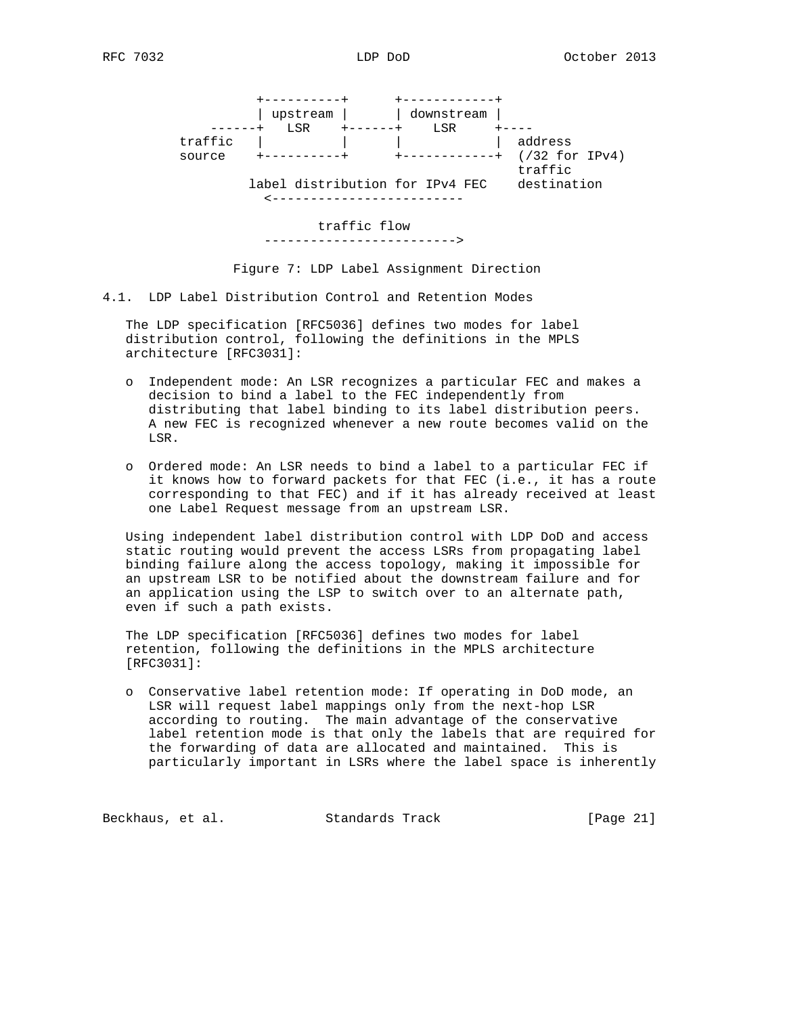|                   | -------+<br>upstream<br>LSR | downstream<br>LSR               |                                        |
|-------------------|-----------------------------|---------------------------------|----------------------------------------|
| traffic<br>source | ----------+                 |                                 | address<br>$(732$ for IPv4)<br>traffic |
|                   |                             | label distribution for IPv4 FEC | destination                            |

# traffic flow

------------------------->

Figure 7: LDP Label Assignment Direction

4.1. LDP Label Distribution Control and Retention Modes

 The LDP specification [RFC5036] defines two modes for label distribution control, following the definitions in the MPLS architecture [RFC3031]:

- o Independent mode: An LSR recognizes a particular FEC and makes a decision to bind a label to the FEC independently from distributing that label binding to its label distribution peers. A new FEC is recognized whenever a new route becomes valid on the LSR.
- o Ordered mode: An LSR needs to bind a label to a particular FEC if it knows how to forward packets for that FEC (i.e., it has a route corresponding to that FEC) and if it has already received at least one Label Request message from an upstream LSR.

 Using independent label distribution control with LDP DoD and access static routing would prevent the access LSRs from propagating label binding failure along the access topology, making it impossible for an upstream LSR to be notified about the downstream failure and for an application using the LSP to switch over to an alternate path, even if such a path exists.

 The LDP specification [RFC5036] defines two modes for label retention, following the definitions in the MPLS architecture [RFC3031]:

 o Conservative label retention mode: If operating in DoD mode, an LSR will request label mappings only from the next-hop LSR according to routing. The main advantage of the conservative label retention mode is that only the labels that are required for the forwarding of data are allocated and maintained. This is particularly important in LSRs where the label space is inherently

Beckhaus, et al. Standards Track [Page 21]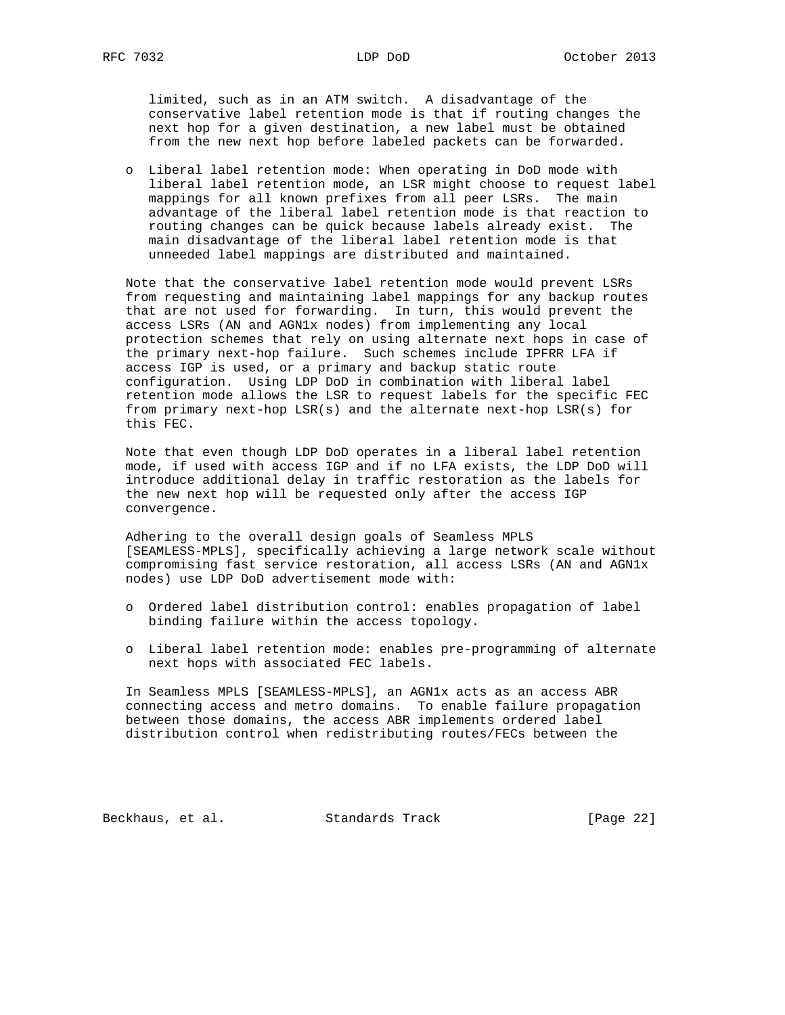limited, such as in an ATM switch. A disadvantage of the conservative label retention mode is that if routing changes the next hop for a given destination, a new label must be obtained from the new next hop before labeled packets can be forwarded.

 o Liberal label retention mode: When operating in DoD mode with liberal label retention mode, an LSR might choose to request label mappings for all known prefixes from all peer LSRs. The main advantage of the liberal label retention mode is that reaction to routing changes can be quick because labels already exist. The main disadvantage of the liberal label retention mode is that unneeded label mappings are distributed and maintained.

 Note that the conservative label retention mode would prevent LSRs from requesting and maintaining label mappings for any backup routes that are not used for forwarding. In turn, this would prevent the access LSRs (AN and AGN1x nodes) from implementing any local protection schemes that rely on using alternate next hops in case of the primary next-hop failure. Such schemes include IPFRR LFA if access IGP is used, or a primary and backup static route configuration. Using LDP DoD in combination with liberal label retention mode allows the LSR to request labels for the specific FEC from primary next-hop LSR(s) and the alternate next-hop LSR(s) for this FEC.

 Note that even though LDP DoD operates in a liberal label retention mode, if used with access IGP and if no LFA exists, the LDP DoD will introduce additional delay in traffic restoration as the labels for the new next hop will be requested only after the access IGP convergence.

 Adhering to the overall design goals of Seamless MPLS [SEAMLESS-MPLS], specifically achieving a large network scale without compromising fast service restoration, all access LSRs (AN and AGN1x nodes) use LDP DoD advertisement mode with:

- o Ordered label distribution control: enables propagation of label binding failure within the access topology.
- o Liberal label retention mode: enables pre-programming of alternate next hops with associated FEC labels.

 In Seamless MPLS [SEAMLESS-MPLS], an AGN1x acts as an access ABR connecting access and metro domains. To enable failure propagation between those domains, the access ABR implements ordered label distribution control when redistributing routes/FECs between the

Beckhaus, et al. Standards Track [Page 22]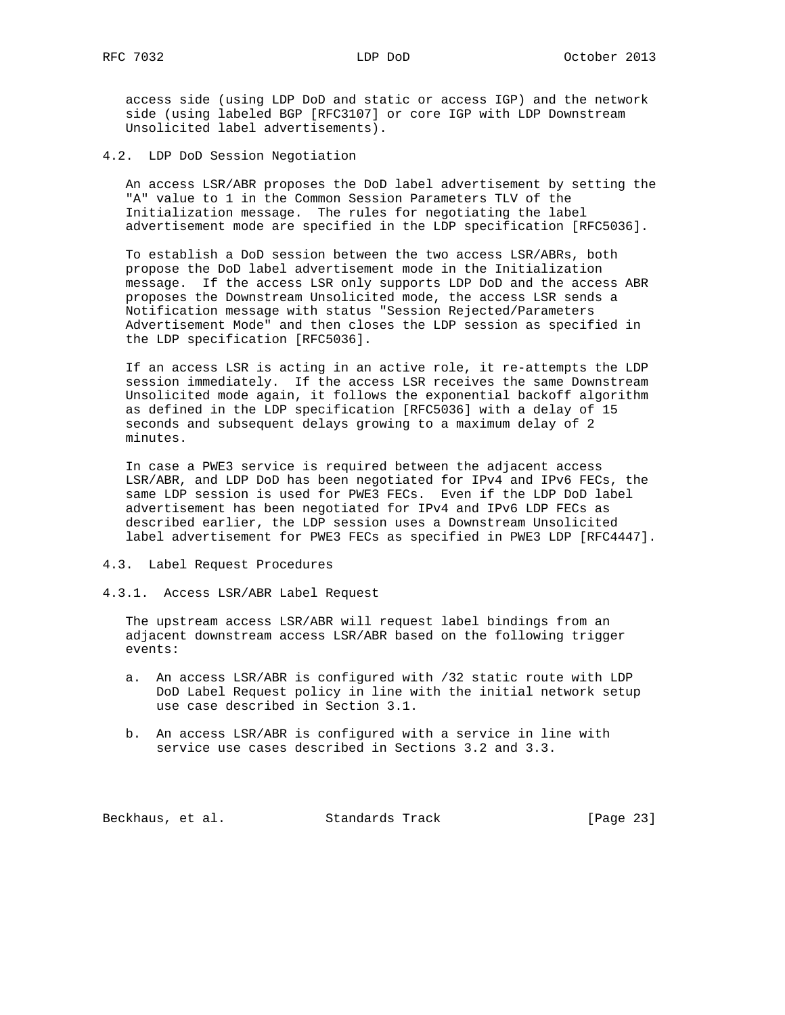access side (using LDP DoD and static or access IGP) and the network side (using labeled BGP [RFC3107] or core IGP with LDP Downstream Unsolicited label advertisements).

4.2. LDP DoD Session Negotiation

 An access LSR/ABR proposes the DoD label advertisement by setting the "A" value to 1 in the Common Session Parameters TLV of the Initialization message. The rules for negotiating the label advertisement mode are specified in the LDP specification [RFC5036].

 To establish a DoD session between the two access LSR/ABRs, both propose the DoD label advertisement mode in the Initialization message. If the access LSR only supports LDP DoD and the access ABR proposes the Downstream Unsolicited mode, the access LSR sends a Notification message with status "Session Rejected/Parameters Advertisement Mode" and then closes the LDP session as specified in the LDP specification [RFC5036].

 If an access LSR is acting in an active role, it re-attempts the LDP session immediately. If the access LSR receives the same Downstream Unsolicited mode again, it follows the exponential backoff algorithm as defined in the LDP specification [RFC5036] with a delay of 15 seconds and subsequent delays growing to a maximum delay of 2 minutes.

 In case a PWE3 service is required between the adjacent access LSR/ABR, and LDP DoD has been negotiated for IPv4 and IPv6 FECs, the same LDP session is used for PWE3 FECs. Even if the LDP DoD label advertisement has been negotiated for IPv4 and IPv6 LDP FECs as described earlier, the LDP session uses a Downstream Unsolicited label advertisement for PWE3 FECs as specified in PWE3 LDP [RFC4447].

- 4.3. Label Request Procedures
- 4.3.1. Access LSR/ABR Label Request

 The upstream access LSR/ABR will request label bindings from an adjacent downstream access LSR/ABR based on the following trigger events:

- a. An access LSR/ABR is configured with /32 static route with LDP DoD Label Request policy in line with the initial network setup use case described in Section 3.1.
- b. An access LSR/ABR is configured with a service in line with service use cases described in Sections 3.2 and 3.3.

Beckhaus, et al. Standards Track [Page 23]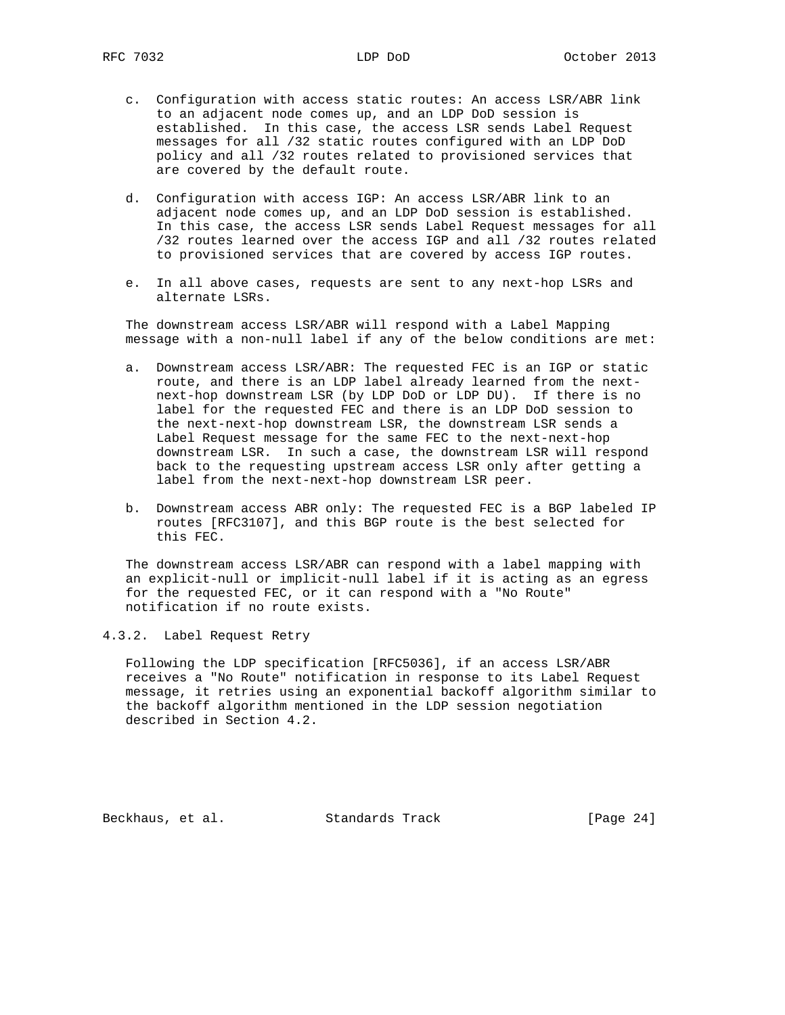- c. Configuration with access static routes: An access LSR/ABR link to an adjacent node comes up, and an LDP DoD session is established. In this case, the access LSR sends Label Request messages for all /32 static routes configured with an LDP DoD policy and all /32 routes related to provisioned services that are covered by the default route.
- d. Configuration with access IGP: An access LSR/ABR link to an adjacent node comes up, and an LDP DoD session is established. In this case, the access LSR sends Label Request messages for all /32 routes learned over the access IGP and all /32 routes related to provisioned services that are covered by access IGP routes.
- e. In all above cases, requests are sent to any next-hop LSRs and alternate LSRs.

 The downstream access LSR/ABR will respond with a Label Mapping message with a non-null label if any of the below conditions are met:

- a. Downstream access LSR/ABR: The requested FEC is an IGP or static route, and there is an LDP label already learned from the next next-hop downstream LSR (by LDP DoD or LDP DU). If there is no label for the requested FEC and there is an LDP DoD session to the next-next-hop downstream LSR, the downstream LSR sends a Label Request message for the same FEC to the next-next-hop downstream LSR. In such a case, the downstream LSR will respond back to the requesting upstream access LSR only after getting a label from the next-next-hop downstream LSR peer.
- b. Downstream access ABR only: The requested FEC is a BGP labeled IP routes [RFC3107], and this BGP route is the best selected for this FEC.

 The downstream access LSR/ABR can respond with a label mapping with an explicit-null or implicit-null label if it is acting as an egress for the requested FEC, or it can respond with a "No Route" notification if no route exists.

4.3.2. Label Request Retry

 Following the LDP specification [RFC5036], if an access LSR/ABR receives a "No Route" notification in response to its Label Request message, it retries using an exponential backoff algorithm similar to the backoff algorithm mentioned in the LDP session negotiation described in Section 4.2.

Beckhaus, et al. Standards Track [Page 24]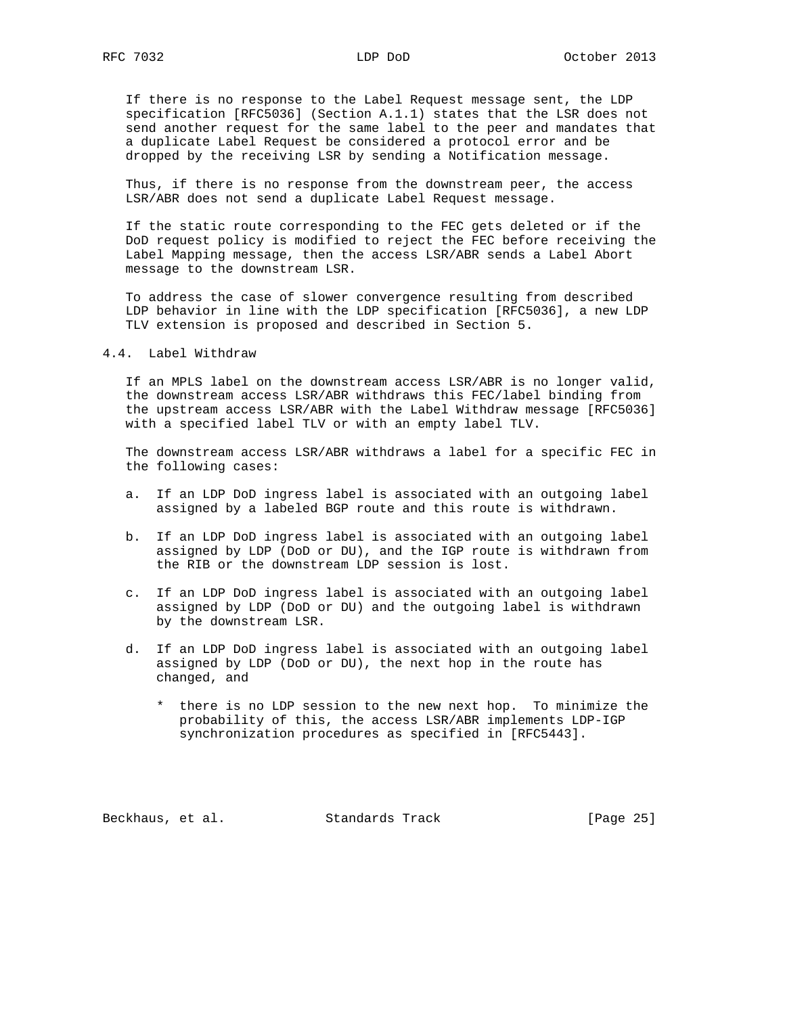If there is no response to the Label Request message sent, the LDP specification [RFC5036] (Section A.1.1) states that the LSR does not send another request for the same label to the peer and mandates that a duplicate Label Request be considered a protocol error and be dropped by the receiving LSR by sending a Notification message.

 Thus, if there is no response from the downstream peer, the access LSR/ABR does not send a duplicate Label Request message.

 If the static route corresponding to the FEC gets deleted or if the DoD request policy is modified to reject the FEC before receiving the Label Mapping message, then the access LSR/ABR sends a Label Abort message to the downstream LSR.

 To address the case of slower convergence resulting from described LDP behavior in line with the LDP specification [RFC5036], a new LDP TLV extension is proposed and described in Section 5.

4.4. Label Withdraw

 If an MPLS label on the downstream access LSR/ABR is no longer valid, the downstream access LSR/ABR withdraws this FEC/label binding from the upstream access LSR/ABR with the Label Withdraw message [RFC5036] with a specified label TLV or with an empty label TLV.

 The downstream access LSR/ABR withdraws a label for a specific FEC in the following cases:

- a. If an LDP DoD ingress label is associated with an outgoing label assigned by a labeled BGP route and this route is withdrawn.
- b. If an LDP DoD ingress label is associated with an outgoing label assigned by LDP (DoD or DU), and the IGP route is withdrawn from the RIB or the downstream LDP session is lost.
- c. If an LDP DoD ingress label is associated with an outgoing label assigned by LDP (DoD or DU) and the outgoing label is withdrawn by the downstream LSR.
- d. If an LDP DoD ingress label is associated with an outgoing label assigned by LDP (DoD or DU), the next hop in the route has changed, and
	- \* there is no LDP session to the new next hop. To minimize the probability of this, the access LSR/ABR implements LDP-IGP synchronization procedures as specified in [RFC5443].

Beckhaus, et al. Standards Track [Page 25]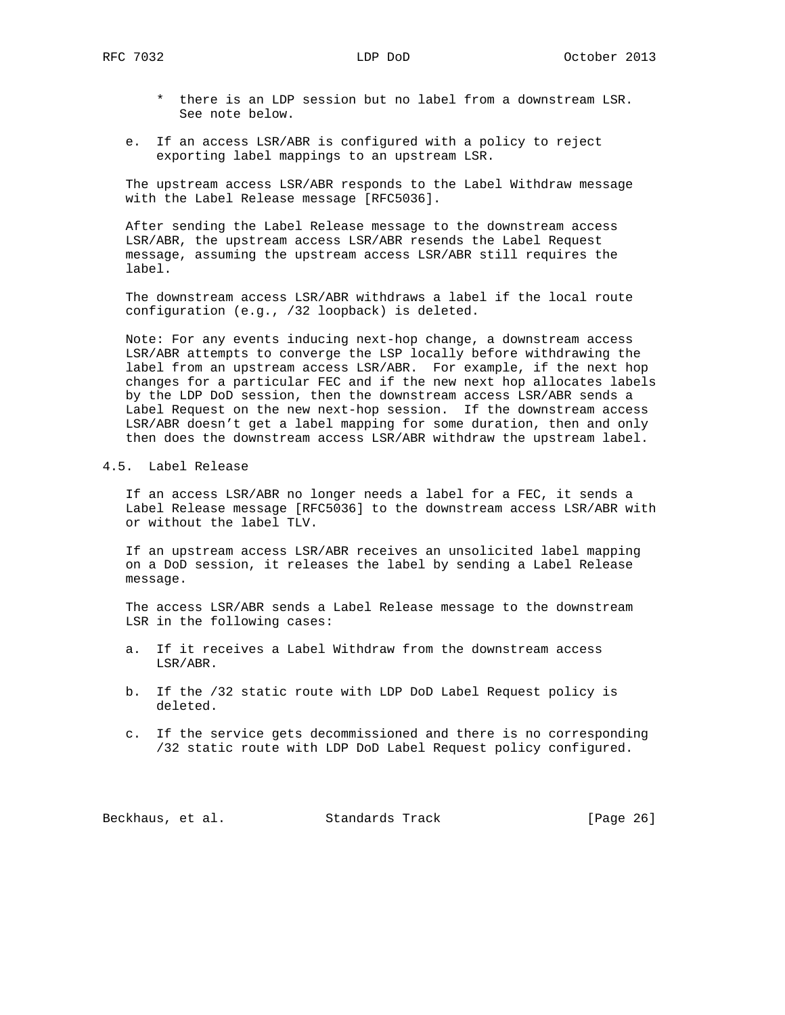- \* there is an LDP session but no label from a downstream LSR. See note below.
- e. If an access LSR/ABR is configured with a policy to reject exporting label mappings to an upstream LSR.

 The upstream access LSR/ABR responds to the Label Withdraw message with the Label Release message [RFC5036].

 After sending the Label Release message to the downstream access LSR/ABR, the upstream access LSR/ABR resends the Label Request message, assuming the upstream access LSR/ABR still requires the label.

 The downstream access LSR/ABR withdraws a label if the local route configuration (e.g., /32 loopback) is deleted.

 Note: For any events inducing next-hop change, a downstream access LSR/ABR attempts to converge the LSP locally before withdrawing the label from an upstream access LSR/ABR. For example, if the next hop changes for a particular FEC and if the new next hop allocates labels by the LDP DoD session, then the downstream access LSR/ABR sends a Label Request on the new next-hop session. If the downstream access LSR/ABR doesn't get a label mapping for some duration, then and only then does the downstream access LSR/ABR withdraw the upstream label.

# 4.5. Label Release

 If an access LSR/ABR no longer needs a label for a FEC, it sends a Label Release message [RFC5036] to the downstream access LSR/ABR with or without the label TLV.

 If an upstream access LSR/ABR receives an unsolicited label mapping on a DoD session, it releases the label by sending a Label Release message.

 The access LSR/ABR sends a Label Release message to the downstream LSR in the following cases:

- a. If it receives a Label Withdraw from the downstream access LSR/ABR.
- b. If the /32 static route with LDP DoD Label Request policy is deleted.
- c. If the service gets decommissioned and there is no corresponding /32 static route with LDP DoD Label Request policy configured.

Beckhaus, et al. Standards Track [Page 26]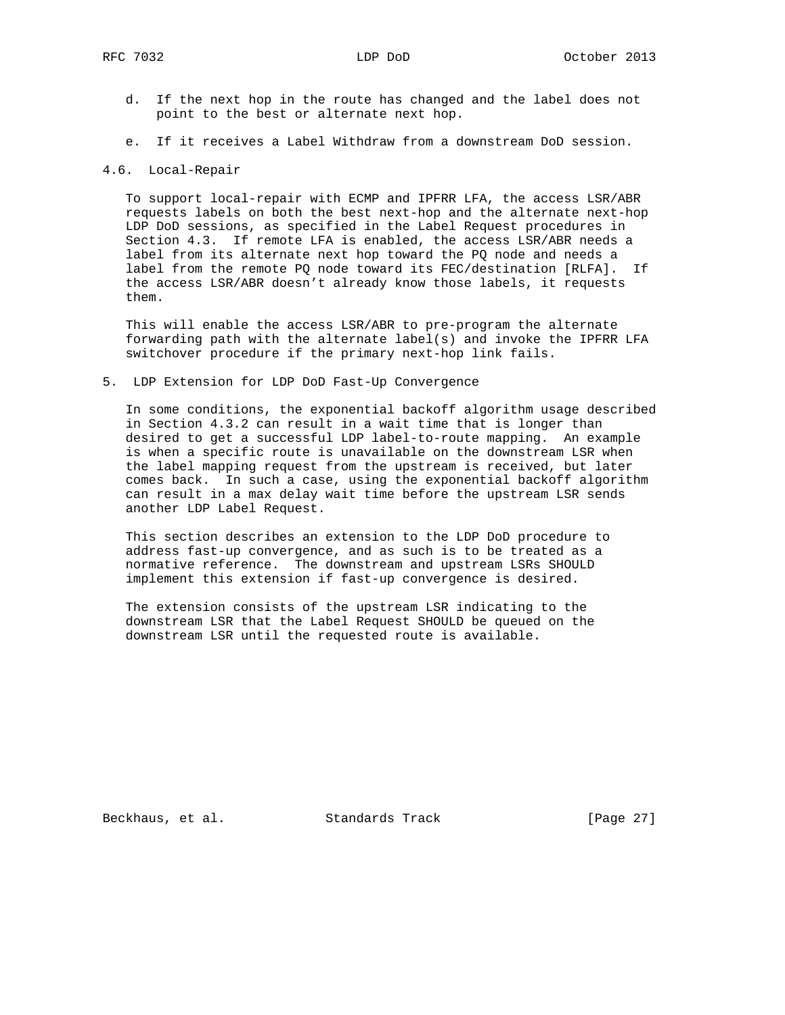- d. If the next hop in the route has changed and the label does not point to the best or alternate next hop.
- e. If it receives a Label Withdraw from a downstream DoD session.

## 4.6. Local-Repair

 To support local-repair with ECMP and IPFRR LFA, the access LSR/ABR requests labels on both the best next-hop and the alternate next-hop LDP DoD sessions, as specified in the Label Request procedures in Section 4.3. If remote LFA is enabled, the access LSR/ABR needs a label from its alternate next hop toward the PQ node and needs a label from the remote PQ node toward its FEC/destination [RLFA]. If the access LSR/ABR doesn't already know those labels, it requests them.

 This will enable the access LSR/ABR to pre-program the alternate forwarding path with the alternate label(s) and invoke the IPFRR LFA switchover procedure if the primary next-hop link fails.

5. LDP Extension for LDP DoD Fast-Up Convergence

 In some conditions, the exponential backoff algorithm usage described in Section 4.3.2 can result in a wait time that is longer than desired to get a successful LDP label-to-route mapping. An example is when a specific route is unavailable on the downstream LSR when the label mapping request from the upstream is received, but later comes back. In such a case, using the exponential backoff algorithm can result in a max delay wait time before the upstream LSR sends another LDP Label Request.

 This section describes an extension to the LDP DoD procedure to address fast-up convergence, and as such is to be treated as a normative reference. The downstream and upstream LSRs SHOULD implement this extension if fast-up convergence is desired.

 The extension consists of the upstream LSR indicating to the downstream LSR that the Label Request SHOULD be queued on the downstream LSR until the requested route is available.

Beckhaus, et al. Standards Track [Page 27]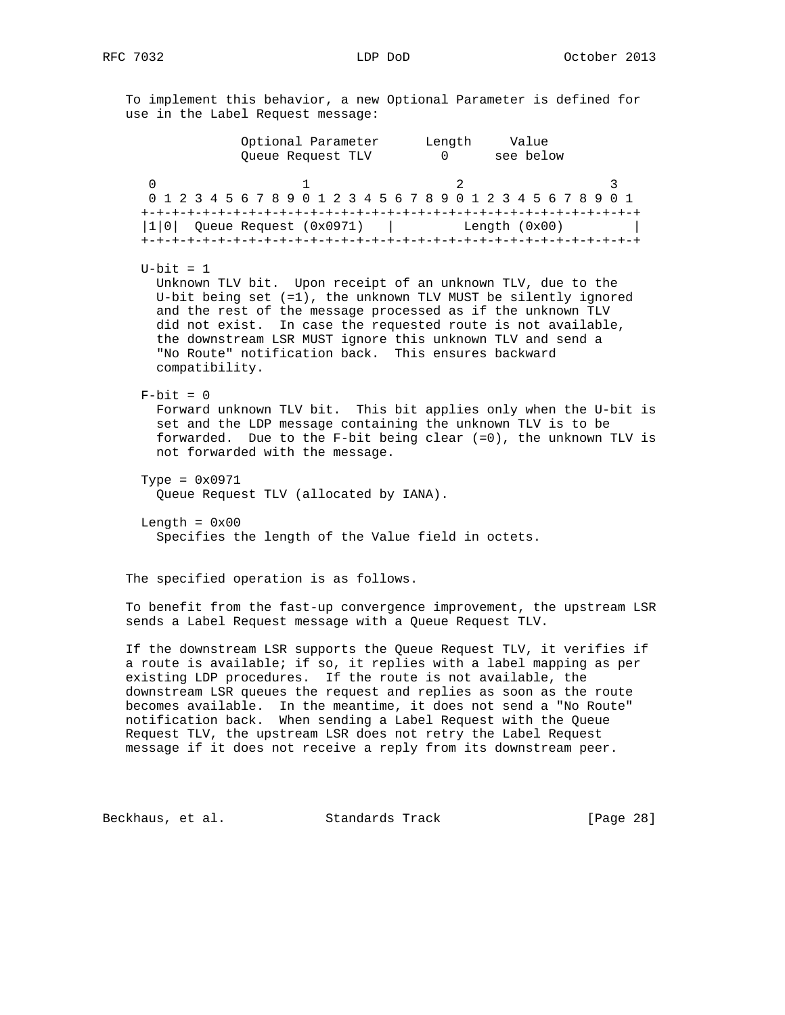To implement this behavior, a new Optional Parameter is defined for use in the Label Request message: Optional Parameter Length Value Queue Request TLV 0 see below 0  $1$   $2$   $3$  0 1 2 3 4 5 6 7 8 9 0 1 2 3 4 5 6 7 8 9 0 1 2 3 4 5 6 7 8 9 0 1 +-+-+-+-+-+-+-+-+-+-+-+-+-+-+-+-+-+-+-+-+-+-+-+-+-+-+-+-+-+-+-+-+ |1|0| Queue Request (0x0971) | Length (0x00) | +-+-+-+-+-+-+-+-+-+-+-+-+-+-+-+-+-+-+-+-+-+-+-+-+-+-+-+-+-+-+-+-+  $U$ -bit = 1 Unknown TLV bit. Upon receipt of an unknown TLV, due to the U-bit being set (=1), the unknown TLV MUST be silently ignored and the rest of the message processed as if the unknown TLV did not exist. In case the requested route is not available, the downstream LSR MUST ignore this unknown TLV and send a "No Route" notification back. This ensures backward compatibility.  $F-bit = 0$  Forward unknown TLV bit. This bit applies only when the U-bit is set and the LDP message containing the unknown TLV is to be forwarded. Due to the F-bit being clear (=0), the unknown TLV is not forwarded with the message. Type =  $0 \times 0971$  Queue Request TLV (allocated by IANA). Length =  $0x00$  Specifies the length of the Value field in octets. The specified operation is as follows. To benefit from the fast-up convergence improvement, the upstream LSR sends a Label Request message with a Queue Request TLV. If the downstream LSR supports the Queue Request TLV, it verifies if a route is available; if so, it replies with a label mapping as per existing LDP procedures. If the route is not available, the downstream LSR queues the request and replies as soon as the route becomes available. In the meantime, it does not send a "No Route" notification back. When sending a Label Request with the Queue Request TLV, the upstream LSR does not retry the Label Request

message if it does not receive a reply from its downstream peer.

Beckhaus, et al. Standards Track [Page 28]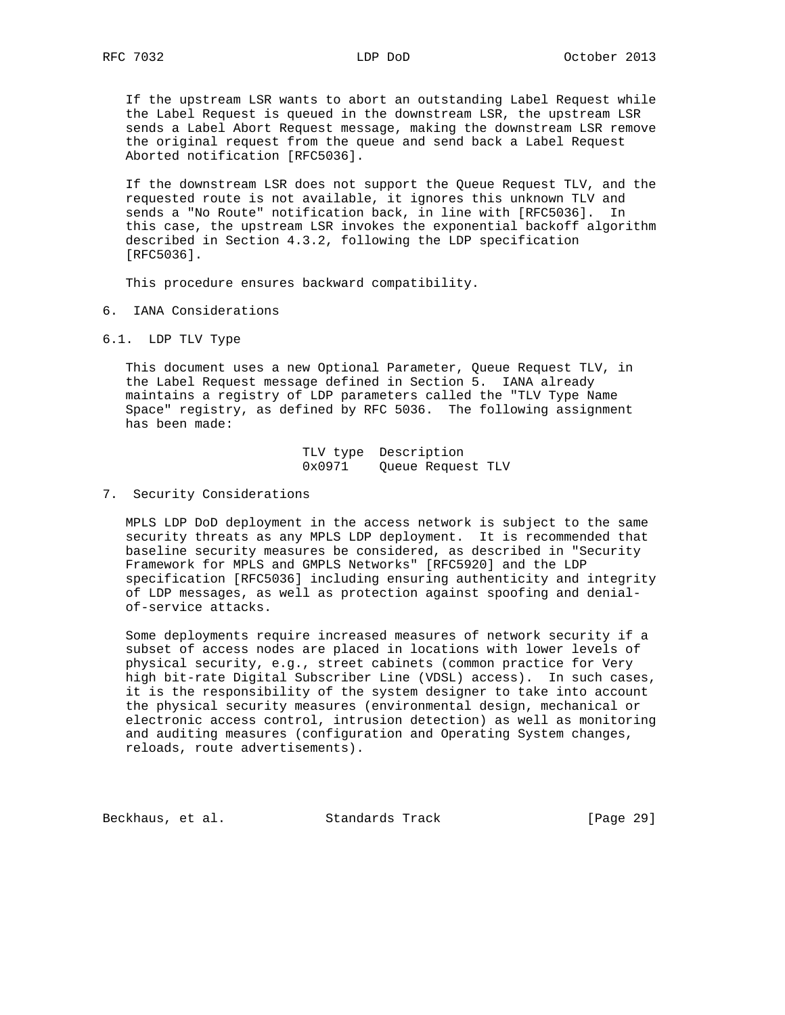If the upstream LSR wants to abort an outstanding Label Request while the Label Request is queued in the downstream LSR, the upstream LSR sends a Label Abort Request message, making the downstream LSR remove the original request from the queue and send back a Label Request Aborted notification [RFC5036].

 If the downstream LSR does not support the Queue Request TLV, and the requested route is not available, it ignores this unknown TLV and sends a "No Route" notification back, in line with [RFC5036]. In this case, the upstream LSR invokes the exponential backoff algorithm described in Section 4.3.2, following the LDP specification [RFC5036].

This procedure ensures backward compatibility.

- 6. IANA Considerations
- 6.1. LDP TLV Type

 This document uses a new Optional Parameter, Queue Request TLV, in the Label Request message defined in Section 5. IANA already maintains a registry of LDP parameters called the "TLV Type Name Space" registry, as defined by RFC 5036. The following assignment has been made:

> TLV type Description 0x0971 Queue Request TLV

7. Security Considerations

 MPLS LDP DoD deployment in the access network is subject to the same security threats as any MPLS LDP deployment. It is recommended that baseline security measures be considered, as described in "Security Framework for MPLS and GMPLS Networks" [RFC5920] and the LDP specification [RFC5036] including ensuring authenticity and integrity of LDP messages, as well as protection against spoofing and denial of-service attacks.

 Some deployments require increased measures of network security if a subset of access nodes are placed in locations with lower levels of physical security, e.g., street cabinets (common practice for Very high bit-rate Digital Subscriber Line (VDSL) access). In such cases, it is the responsibility of the system designer to take into account the physical security measures (environmental design, mechanical or electronic access control, intrusion detection) as well as monitoring and auditing measures (configuration and Operating System changes, reloads, route advertisements).

Beckhaus, et al. Standards Track [Page 29]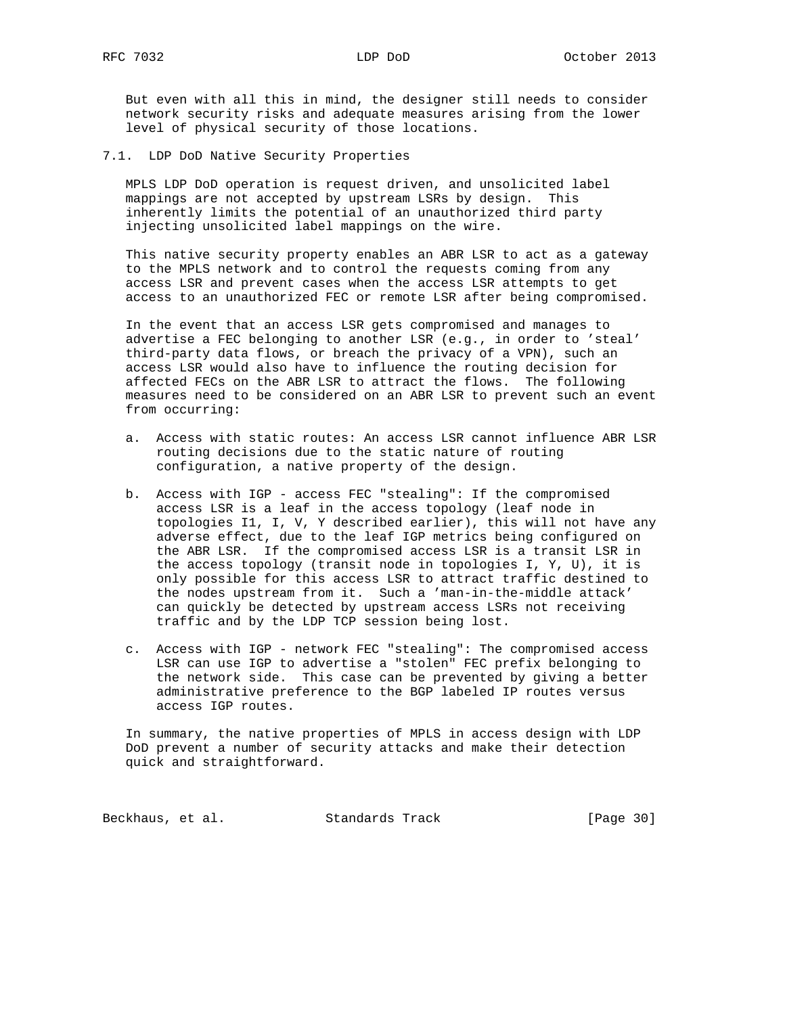But even with all this in mind, the designer still needs to consider network security risks and adequate measures arising from the lower level of physical security of those locations.

7.1. LDP DoD Native Security Properties

 MPLS LDP DoD operation is request driven, and unsolicited label mappings are not accepted by upstream LSRs by design. This inherently limits the potential of an unauthorized third party injecting unsolicited label mappings on the wire.

 This native security property enables an ABR LSR to act as a gateway to the MPLS network and to control the requests coming from any access LSR and prevent cases when the access LSR attempts to get access to an unauthorized FEC or remote LSR after being compromised.

 In the event that an access LSR gets compromised and manages to advertise a FEC belonging to another LSR (e.g., in order to 'steal' third-party data flows, or breach the privacy of a VPN), such an access LSR would also have to influence the routing decision for affected FECs on the ABR LSR to attract the flows. The following measures need to be considered on an ABR LSR to prevent such an event from occurring:

- a. Access with static routes: An access LSR cannot influence ABR LSR routing decisions due to the static nature of routing configuration, a native property of the design.
- b. Access with IGP access FEC "stealing": If the compromised access LSR is a leaf in the access topology (leaf node in topologies I1, I, V, Y described earlier), this will not have any adverse effect, due to the leaf IGP metrics being configured on the ABR LSR. If the compromised access LSR is a transit LSR in the access topology (transit node in topologies I, Y, U), it is only possible for this access LSR to attract traffic destined to the nodes upstream from it. Such a 'man-in-the-middle attack' can quickly be detected by upstream access LSRs not receiving traffic and by the LDP TCP session being lost.
- c. Access with IGP network FEC "stealing": The compromised access LSR can use IGP to advertise a "stolen" FEC prefix belonging to the network side. This case can be prevented by giving a better administrative preference to the BGP labeled IP routes versus access IGP routes.

 In summary, the native properties of MPLS in access design with LDP DoD prevent a number of security attacks and make their detection quick and straightforward.

Beckhaus, et al. Standards Track [Page 30]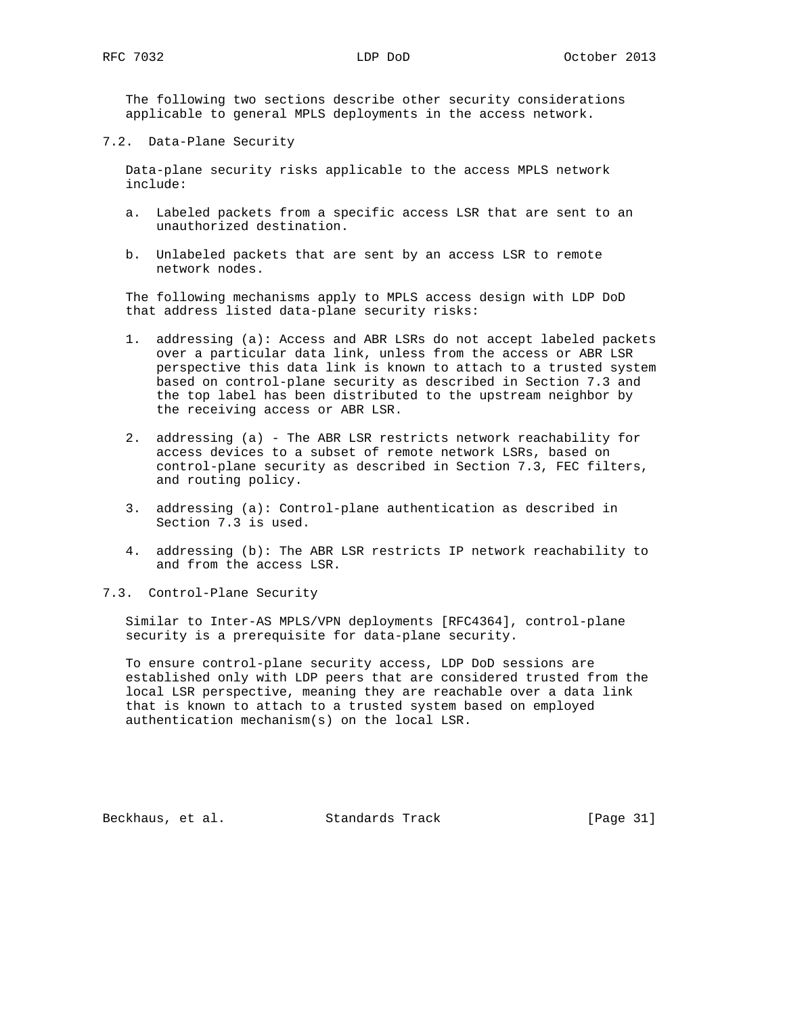The following two sections describe other security considerations applicable to general MPLS deployments in the access network.

7.2. Data-Plane Security

 Data-plane security risks applicable to the access MPLS network include:

- a. Labeled packets from a specific access LSR that are sent to an unauthorized destination.
- b. Unlabeled packets that are sent by an access LSR to remote network nodes.

 The following mechanisms apply to MPLS access design with LDP DoD that address listed data-plane security risks:

- 1. addressing (a): Access and ABR LSRs do not accept labeled packets over a particular data link, unless from the access or ABR LSR perspective this data link is known to attach to a trusted system based on control-plane security as described in Section 7.3 and the top label has been distributed to the upstream neighbor by the receiving access or ABR LSR.
- 2. addressing (a) The ABR LSR restricts network reachability for access devices to a subset of remote network LSRs, based on control-plane security as described in Section 7.3, FEC filters, and routing policy.
- 3. addressing (a): Control-plane authentication as described in Section 7.3 is used.
- 4. addressing (b): The ABR LSR restricts IP network reachability to and from the access LSR.
- 7.3. Control-Plane Security

 Similar to Inter-AS MPLS/VPN deployments [RFC4364], control-plane security is a prerequisite for data-plane security.

 To ensure control-plane security access, LDP DoD sessions are established only with LDP peers that are considered trusted from the local LSR perspective, meaning they are reachable over a data link that is known to attach to a trusted system based on employed authentication mechanism(s) on the local LSR.

Beckhaus, et al. Standards Track [Page 31]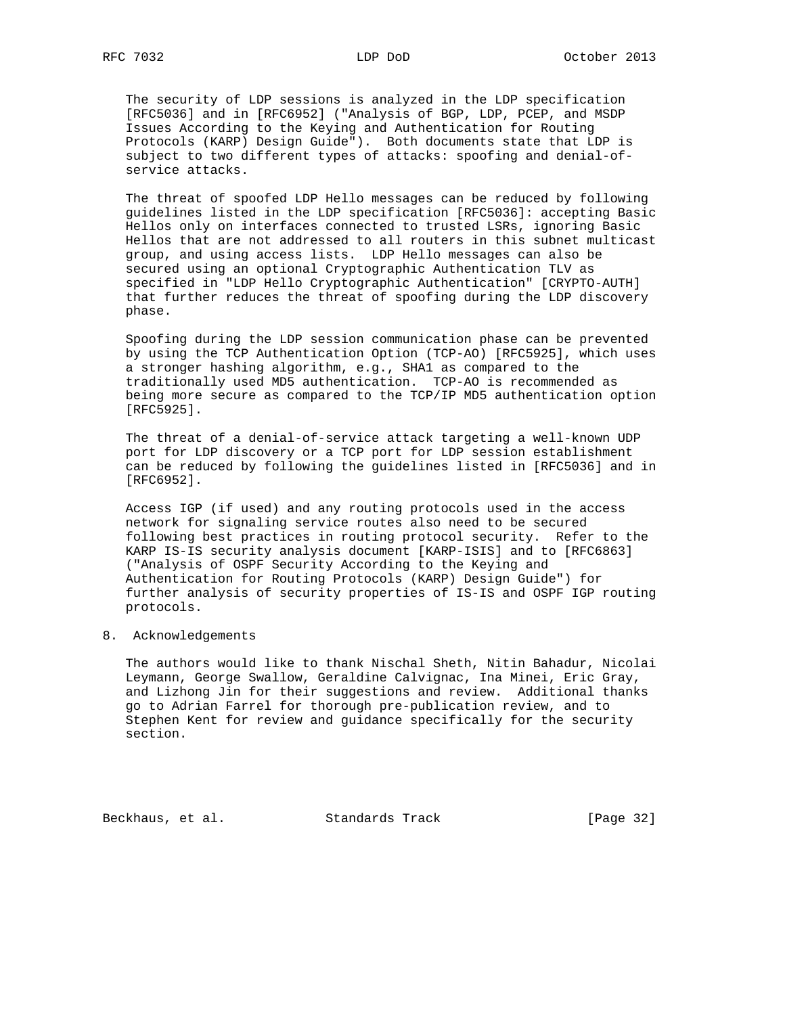The security of LDP sessions is analyzed in the LDP specification [RFC5036] and in [RFC6952] ("Analysis of BGP, LDP, PCEP, and MSDP Issues According to the Keying and Authentication for Routing Protocols (KARP) Design Guide"). Both documents state that LDP is subject to two different types of attacks: spoofing and denial-of service attacks.

 The threat of spoofed LDP Hello messages can be reduced by following guidelines listed in the LDP specification [RFC5036]: accepting Basic Hellos only on interfaces connected to trusted LSRs, ignoring Basic Hellos that are not addressed to all routers in this subnet multicast group, and using access lists. LDP Hello messages can also be secured using an optional Cryptographic Authentication TLV as specified in "LDP Hello Cryptographic Authentication" [CRYPTO-AUTH] that further reduces the threat of spoofing during the LDP discovery phase.

 Spoofing during the LDP session communication phase can be prevented by using the TCP Authentication Option (TCP-AO) [RFC5925], which uses a stronger hashing algorithm, e.g., SHA1 as compared to the traditionally used MD5 authentication. TCP-AO is recommended as being more secure as compared to the TCP/IP MD5 authentication option [RFC5925].

 The threat of a denial-of-service attack targeting a well-known UDP port for LDP discovery or a TCP port for LDP session establishment can be reduced by following the guidelines listed in [RFC5036] and in [RFC6952].

 Access IGP (if used) and any routing protocols used in the access network for signaling service routes also need to be secured following best practices in routing protocol security. Refer to the KARP IS-IS security analysis document [KARP-ISIS] and to [RFC6863] ("Analysis of OSPF Security According to the Keying and Authentication for Routing Protocols (KARP) Design Guide") for further analysis of security properties of IS-IS and OSPF IGP routing protocols.

### 8. Acknowledgements

 The authors would like to thank Nischal Sheth, Nitin Bahadur, Nicolai Leymann, George Swallow, Geraldine Calvignac, Ina Minei, Eric Gray, and Lizhong Jin for their suggestions and review. Additional thanks go to Adrian Farrel for thorough pre-publication review, and to Stephen Kent for review and guidance specifically for the security section.

Beckhaus, et al. Standards Track [Page 32]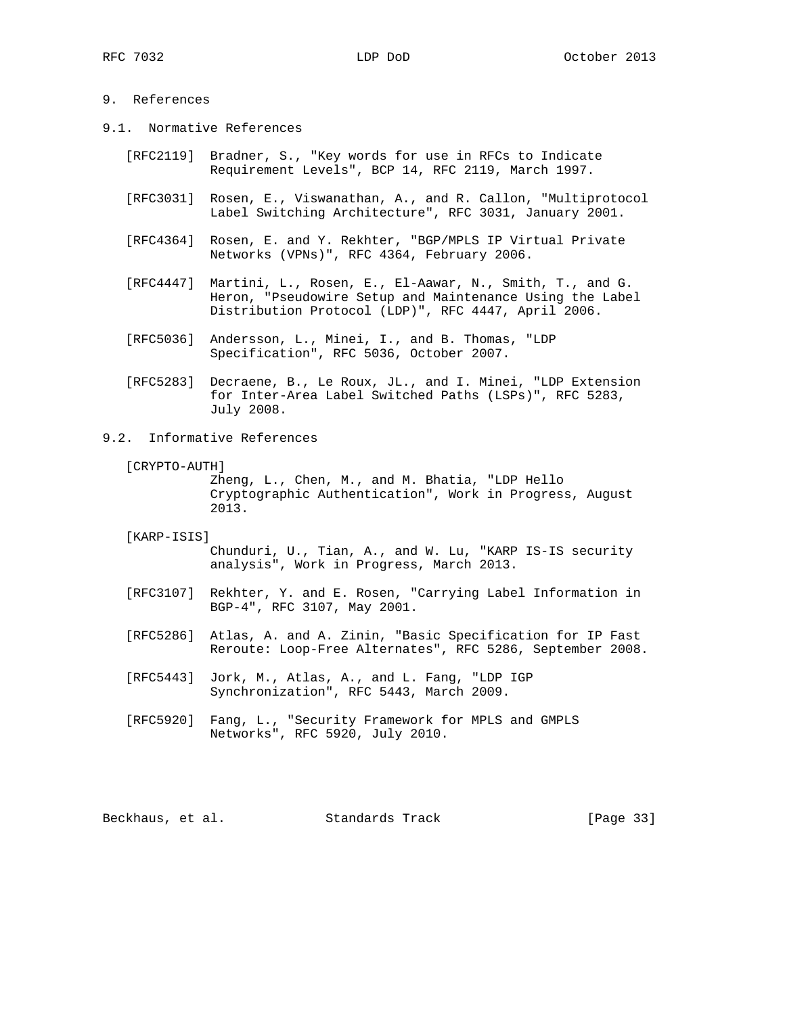# 9. References

- 9.1. Normative References
	- [RFC2119] Bradner, S., "Key words for use in RFCs to Indicate Requirement Levels", BCP 14, RFC 2119, March 1997.
	- [RFC3031] Rosen, E., Viswanathan, A., and R. Callon, "Multiprotocol Label Switching Architecture", RFC 3031, January 2001.
	- [RFC4364] Rosen, E. and Y. Rekhter, "BGP/MPLS IP Virtual Private Networks (VPNs)", RFC 4364, February 2006.
	- [RFC4447] Martini, L., Rosen, E., El-Aawar, N., Smith, T., and G. Heron, "Pseudowire Setup and Maintenance Using the Label Distribution Protocol (LDP)", RFC 4447, April 2006.
	- [RFC5036] Andersson, L., Minei, I., and B. Thomas, "LDP Specification", RFC 5036, October 2007.
	- [RFC5283] Decraene, B., Le Roux, JL., and I. Minei, "LDP Extension for Inter-Area Label Switched Paths (LSPs)", RFC 5283, July 2008.

# 9.2. Informative References

[CRYPTO-AUTH]

 Zheng, L., Chen, M., and M. Bhatia, "LDP Hello Cryptographic Authentication", Work in Progress, August 2013.

[KARP-ISIS]

 Chunduri, U., Tian, A., and W. Lu, "KARP IS-IS security analysis", Work in Progress, March 2013.

- [RFC3107] Rekhter, Y. and E. Rosen, "Carrying Label Information in BGP-4", RFC 3107, May 2001.
- [RFC5286] Atlas, A. and A. Zinin, "Basic Specification for IP Fast Reroute: Loop-Free Alternates", RFC 5286, September 2008.
- [RFC5443] Jork, M., Atlas, A., and L. Fang, "LDP IGP Synchronization", RFC 5443, March 2009.
- [RFC5920] Fang, L., "Security Framework for MPLS and GMPLS Networks", RFC 5920, July 2010.

Beckhaus, et al. Standards Track [Page 33]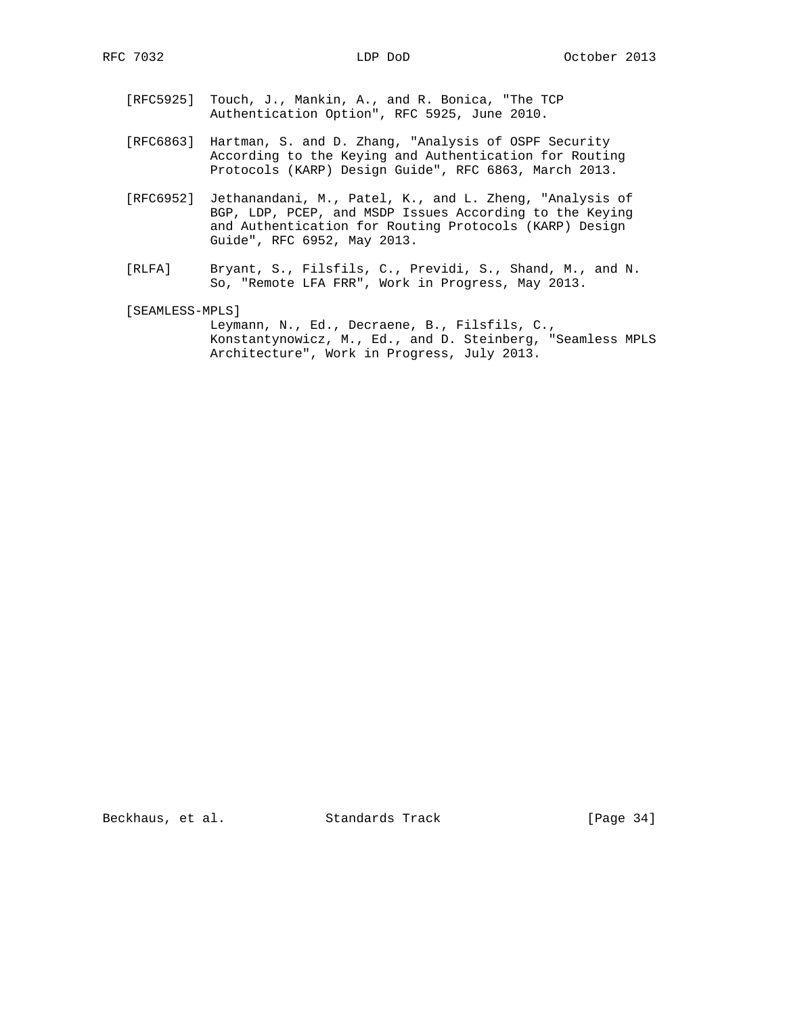- [RFC5925] Touch, J., Mankin, A., and R. Bonica, "The TCP Authentication Option", RFC 5925, June 2010.
- [RFC6863] Hartman, S. and D. Zhang, "Analysis of OSPF Security According to the Keying and Authentication for Routing Protocols (KARP) Design Guide", RFC 6863, March 2013.
- [RFC6952] Jethanandani, M., Patel, K., and L. Zheng, "Analysis of BGP, LDP, PCEP, and MSDP Issues According to the Keying and Authentication for Routing Protocols (KARP) Design Guide", RFC 6952, May 2013.
- [RLFA] Bryant, S., Filsfils, C., Previdi, S., Shand, M., and N. So, "Remote LFA FRR", Work in Progress, May 2013.

[SEAMLESS-MPLS]

 Leymann, N., Ed., Decraene, B., Filsfils, C., Konstantynowicz, M., Ed., and D. Steinberg, "Seamless MPLS Architecture", Work in Progress, July 2013.

Beckhaus, et al. Standards Track [Page 34]